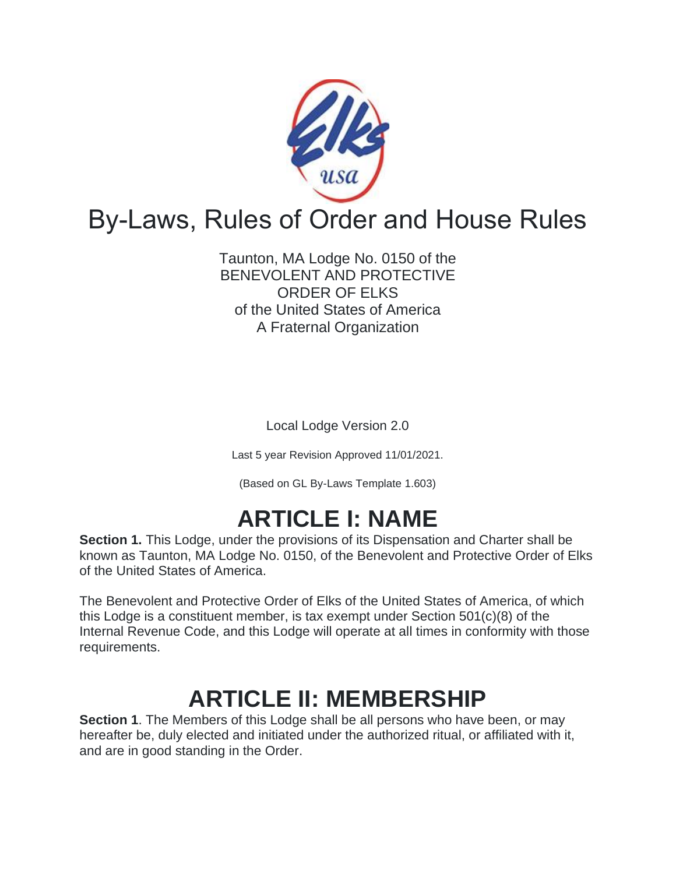

# By-Laws, Rules of Order and House Rules

Taunton, MA Lodge No. 0150 of the BENEVOLENT AND PROTECTIVE ORDER OF ELKS of the United States of America A Fraternal Organization

Local Lodge Version 2.0

Last 5 year Revision Approved 11/01/2021.

(Based on GL By-Laws Template 1.603)

# **ARTICLE I: NAME**

**Section 1.** This Lodge, under the provisions of its Dispensation and Charter shall be known as Taunton, MA Lodge No. 0150, of the Benevolent and Protective Order of Elks of the United States of America.

The Benevolent and Protective Order of Elks of the United States of America, of which this Lodge is a constituent member, is tax exempt under Section 501(c)(8) of the Internal Revenue Code, and this Lodge will operate at all times in conformity with those requirements.

# **ARTICLE II: MEMBERSHIP**

**Section 1**. The Members of this Lodge shall be all persons who have been, or may hereafter be, duly elected and initiated under the authorized ritual, or affiliated with it, and are in good standing in the Order.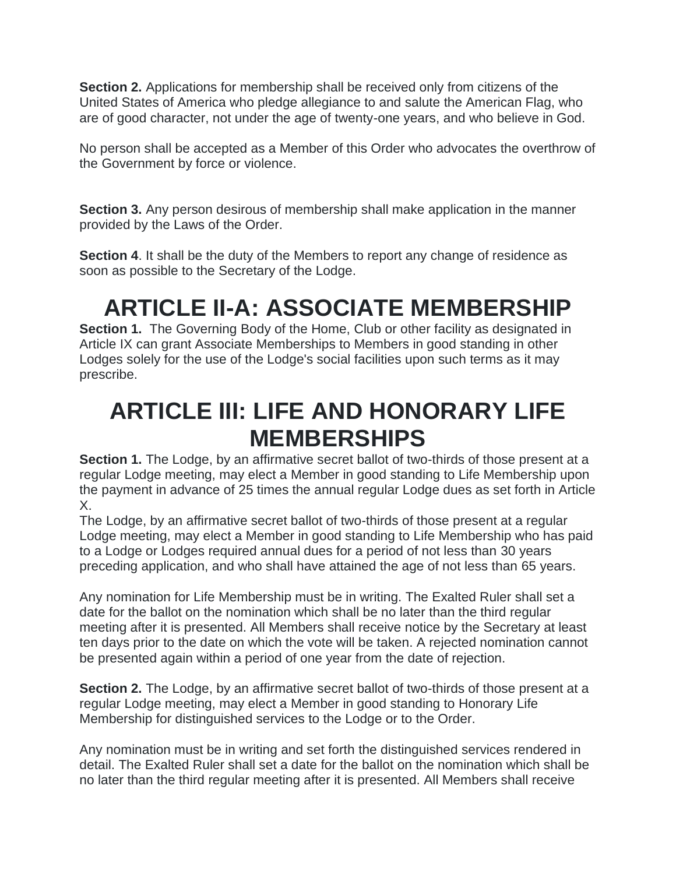**Section 2.** Applications for membership shall be received only from citizens of the United States of America who pledge allegiance to and salute the American Flag, who are of good character, not under the age of twenty-one years, and who believe in God.

No person shall be accepted as a Member of this Order who advocates the overthrow of the Government by force or violence.

**Section 3.** Any person desirous of membership shall make application in the manner provided by the Laws of the Order.

**Section 4.** It shall be the duty of the Members to report any change of residence as soon as possible to the Secretary of the Lodge.

# **ARTICLE II-A: ASSOCIATE MEMBERSHIP**

**Section 1.** The Governing Body of the Home, Club or other facility as designated in Article IX can grant Associate Memberships to Members in good standing in other Lodges solely for the use of the Lodge's social facilities upon such terms as it may prescribe.

## **ARTICLE III: LIFE AND HONORARY LIFE MEMBERSHIPS**

**Section 1.** The Lodge, by an affirmative secret ballot of two-thirds of those present at a regular Lodge meeting, may elect a Member in good standing to Life Membership upon the payment in advance of 25 times the annual regular Lodge dues as set forth in Article X.

The Lodge, by an affirmative secret ballot of two-thirds of those present at a regular Lodge meeting, may elect a Member in good standing to Life Membership who has paid to a Lodge or Lodges required annual dues for a period of not less than 30 years preceding application, and who shall have attained the age of not less than 65 years.

Any nomination for Life Membership must be in writing. The Exalted Ruler shall set a date for the ballot on the nomination which shall be no later than the third regular meeting after it is presented. All Members shall receive notice by the Secretary at least ten days prior to the date on which the vote will be taken. A rejected nomination cannot be presented again within a period of one year from the date of rejection.

**Section 2.** The Lodge, by an affirmative secret ballot of two-thirds of those present at a regular Lodge meeting, may elect a Member in good standing to Honorary Life Membership for distinguished services to the Lodge or to the Order.

Any nomination must be in writing and set forth the distinguished services rendered in detail. The Exalted Ruler shall set a date for the ballot on the nomination which shall be no later than the third regular meeting after it is presented. All Members shall receive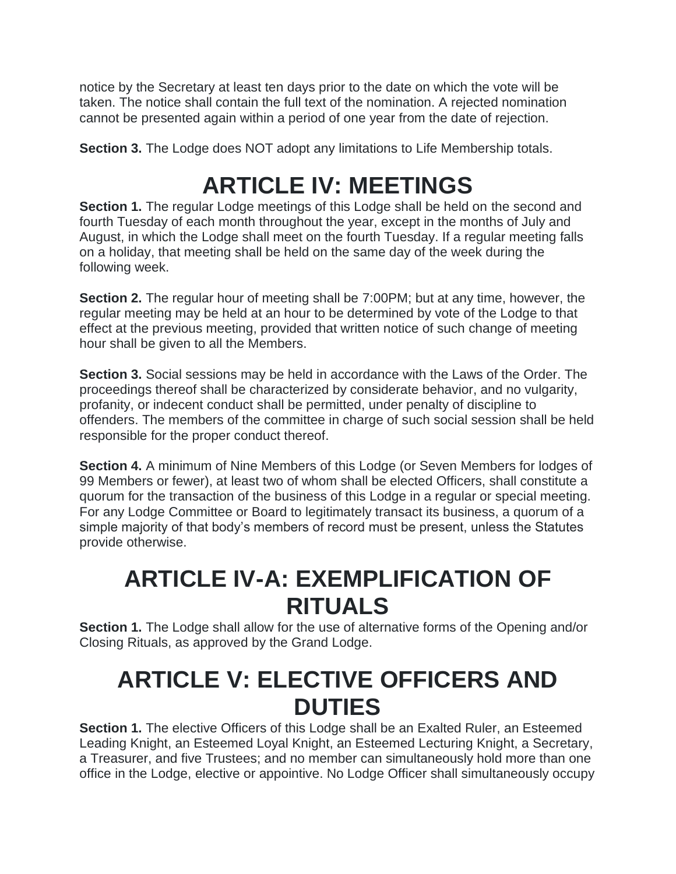notice by the Secretary at least ten days prior to the date on which the vote will be taken. The notice shall contain the full text of the nomination. A rejected nomination cannot be presented again within a period of one year from the date of rejection.

**Section 3.** The Lodge does NOT adopt any limitations to Life Membership totals.

## **ARTICLE IV: MEETINGS**

**Section 1.** The regular Lodge meetings of this Lodge shall be held on the second and fourth Tuesday of each month throughout the year, except in the months of July and August, in which the Lodge shall meet on the fourth Tuesday. If a regular meeting falls on a holiday, that meeting shall be held on the same day of the week during the following week.

**Section 2.** The regular hour of meeting shall be 7:00PM; but at any time, however, the regular meeting may be held at an hour to be determined by vote of the Lodge to that effect at the previous meeting, provided that written notice of such change of meeting hour shall be given to all the Members.

**Section 3.** Social sessions may be held in accordance with the Laws of the Order. The proceedings thereof shall be characterized by considerate behavior, and no vulgarity, profanity, or indecent conduct shall be permitted, under penalty of discipline to offenders. The members of the committee in charge of such social session shall be held responsible for the proper conduct thereof.

**Section 4.** A minimum of Nine Members of this Lodge (or Seven Members for lodges of 99 Members or fewer), at least two of whom shall be elected Officers, shall constitute a quorum for the transaction of the business of this Lodge in a regular or special meeting. For any Lodge Committee or Board to legitimately transact its business, a quorum of a simple majority of that body's members of record must be present, unless the Statutes provide otherwise.

## **ARTICLE IV-A: EXEMPLIFICATION OF RITUALS**

**Section 1.** The Lodge shall allow for the use of alternative forms of the Opening and/or Closing Rituals, as approved by the Grand Lodge.

## **ARTICLE V: ELECTIVE OFFICERS AND DUTIES**

**Section 1.** The elective Officers of this Lodge shall be an Exalted Ruler, an Esteemed Leading Knight, an Esteemed Loyal Knight, an Esteemed Lecturing Knight, a Secretary, a Treasurer, and five Trustees; and no member can simultaneously hold more than one office in the Lodge, elective or appointive. No Lodge Officer shall simultaneously occupy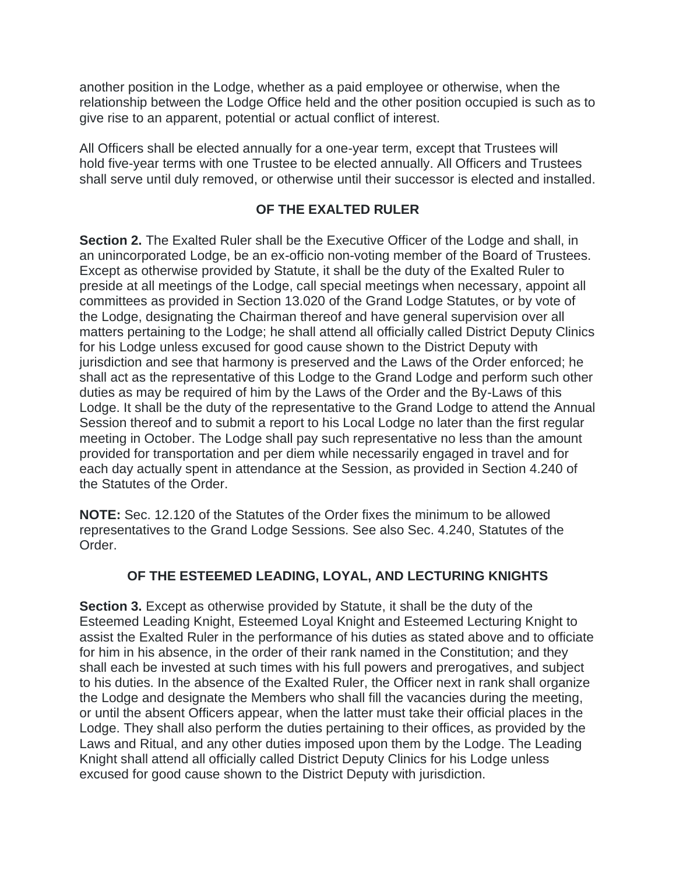another position in the Lodge, whether as a paid employee or otherwise, when the relationship between the Lodge Office held and the other position occupied is such as to give rise to an apparent, potential or actual conflict of interest.

All Officers shall be elected annually for a one-year term, except that Trustees will hold five-year terms with one Trustee to be elected annually. All Officers and Trustees shall serve until duly removed, or otherwise until their successor is elected and installed.

### **OF THE EXALTED RULER**

**Section 2.** The Exalted Ruler shall be the Executive Officer of the Lodge and shall, in an unincorporated Lodge, be an ex-officio non-voting member of the Board of Trustees. Except as otherwise provided by Statute, it shall be the duty of the Exalted Ruler to preside at all meetings of the Lodge, call special meetings when necessary, appoint all committees as provided in Section 13.020 of the Grand Lodge Statutes, or by vote of the Lodge, designating the Chairman thereof and have general supervision over all matters pertaining to the Lodge; he shall attend all officially called District Deputy Clinics for his Lodge unless excused for good cause shown to the District Deputy with jurisdiction and see that harmony is preserved and the Laws of the Order enforced; he shall act as the representative of this Lodge to the Grand Lodge and perform such other duties as may be required of him by the Laws of the Order and the By-Laws of this Lodge. It shall be the duty of the representative to the Grand Lodge to attend the Annual Session thereof and to submit a report to his Local Lodge no later than the first regular meeting in October. The Lodge shall pay such representative no less than the amount provided for transportation and per diem while necessarily engaged in travel and for each day actually spent in attendance at the Session, as provided in Section 4.240 of the Statutes of the Order.

**NOTE:** Sec. 12.120 of the Statutes of the Order fixes the minimum to be allowed representatives to the Grand Lodge Sessions. See also Sec. 4.240, Statutes of the Order.

### **OF THE ESTEEMED LEADING, LOYAL, AND LECTURING KNIGHTS**

**Section 3.** Except as otherwise provided by Statute, it shall be the duty of the Esteemed Leading Knight, Esteemed Loyal Knight and Esteemed Lecturing Knight to assist the Exalted Ruler in the performance of his duties as stated above and to officiate for him in his absence, in the order of their rank named in the Constitution; and they shall each be invested at such times with his full powers and prerogatives, and subject to his duties. In the absence of the Exalted Ruler, the Officer next in rank shall organize the Lodge and designate the Members who shall fill the vacancies during the meeting, or until the absent Officers appear, when the latter must take their official places in the Lodge. They shall also perform the duties pertaining to their offices, as provided by the Laws and Ritual, and any other duties imposed upon them by the Lodge. The Leading Knight shall attend all officially called District Deputy Clinics for his Lodge unless excused for good cause shown to the District Deputy with jurisdiction.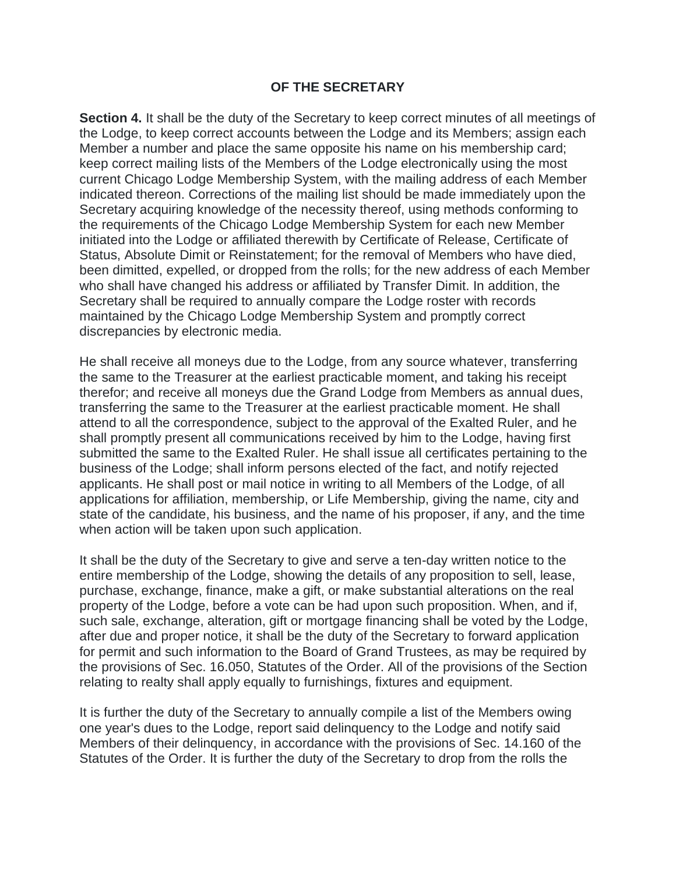#### **OF THE SECRETARY**

**Section 4.** It shall be the duty of the Secretary to keep correct minutes of all meetings of the Lodge, to keep correct accounts between the Lodge and its Members; assign each Member a number and place the same opposite his name on his membership card; keep correct mailing lists of the Members of the Lodge electronically using the most current Chicago Lodge Membership System, with the mailing address of each Member indicated thereon. Corrections of the mailing list should be made immediately upon the Secretary acquiring knowledge of the necessity thereof, using methods conforming to the requirements of the Chicago Lodge Membership System for each new Member initiated into the Lodge or affiliated therewith by Certificate of Release, Certificate of Status, Absolute Dimit or Reinstatement; for the removal of Members who have died, been dimitted, expelled, or dropped from the rolls; for the new address of each Member who shall have changed his address or affiliated by Transfer Dimit. In addition, the Secretary shall be required to annually compare the Lodge roster with records maintained by the Chicago Lodge Membership System and promptly correct discrepancies by electronic media.

He shall receive all moneys due to the Lodge, from any source whatever, transferring the same to the Treasurer at the earliest practicable moment, and taking his receipt therefor; and receive all moneys due the Grand Lodge from Members as annual dues, transferring the same to the Treasurer at the earliest practicable moment. He shall attend to all the correspondence, subject to the approval of the Exalted Ruler, and he shall promptly present all communications received by him to the Lodge, having first submitted the same to the Exalted Ruler. He shall issue all certificates pertaining to the business of the Lodge; shall inform persons elected of the fact, and notify rejected applicants. He shall post or mail notice in writing to all Members of the Lodge, of all applications for affiliation, membership, or Life Membership, giving the name, city and state of the candidate, his business, and the name of his proposer, if any, and the time when action will be taken upon such application.

It shall be the duty of the Secretary to give and serve a ten-day written notice to the entire membership of the Lodge, showing the details of any proposition to sell, lease, purchase, exchange, finance, make a gift, or make substantial alterations on the real property of the Lodge, before a vote can be had upon such proposition. When, and if, such sale, exchange, alteration, gift or mortgage financing shall be voted by the Lodge, after due and proper notice, it shall be the duty of the Secretary to forward application for permit and such information to the Board of Grand Trustees, as may be required by the provisions of Sec. 16.050, Statutes of the Order. All of the provisions of the Section relating to realty shall apply equally to furnishings, fixtures and equipment.

It is further the duty of the Secretary to annually compile a list of the Members owing one year's dues to the Lodge, report said delinquency to the Lodge and notify said Members of their delinquency, in accordance with the provisions of Sec. 14.160 of the Statutes of the Order. It is further the duty of the Secretary to drop from the rolls the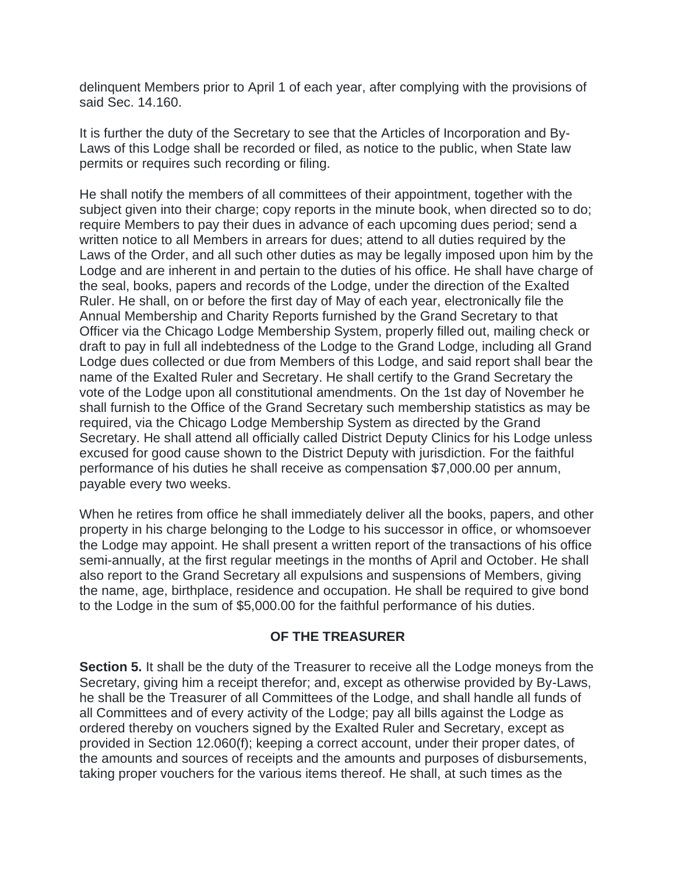delinquent Members prior to April 1 of each year, after complying with the provisions of said Sec. 14.160.

It is further the duty of the Secretary to see that the Articles of Incorporation and By-Laws of this Lodge shall be recorded or filed, as notice to the public, when State law permits or requires such recording or filing.

He shall notify the members of all committees of their appointment, together with the subject given into their charge; copy reports in the minute book, when directed so to do; require Members to pay their dues in advance of each upcoming dues period; send a written notice to all Members in arrears for dues; attend to all duties required by the Laws of the Order, and all such other duties as may be legally imposed upon him by the Lodge and are inherent in and pertain to the duties of his office. He shall have charge of the seal, books, papers and records of the Lodge, under the direction of the Exalted Ruler. He shall, on or before the first day of May of each year, electronically file the Annual Membership and Charity Reports furnished by the Grand Secretary to that Officer via the Chicago Lodge Membership System, properly filled out, mailing check or draft to pay in full all indebtedness of the Lodge to the Grand Lodge, including all Grand Lodge dues collected or due from Members of this Lodge, and said report shall bear the name of the Exalted Ruler and Secretary. He shall certify to the Grand Secretary the vote of the Lodge upon all constitutional amendments. On the 1st day of November he shall furnish to the Office of the Grand Secretary such membership statistics as may be required, via the Chicago Lodge Membership System as directed by the Grand Secretary. He shall attend all officially called District Deputy Clinics for his Lodge unless excused for good cause shown to the District Deputy with jurisdiction. For the faithful performance of his duties he shall receive as compensation \$7,000.00 per annum, payable every two weeks.

When he retires from office he shall immediately deliver all the books, papers, and other property in his charge belonging to the Lodge to his successor in office, or whomsoever the Lodge may appoint. He shall present a written report of the transactions of his office semi-annually, at the first regular meetings in the months of April and October. He shall also report to the Grand Secretary all expulsions and suspensions of Members, giving the name, age, birthplace, residence and occupation. He shall be required to give bond to the Lodge in the sum of \$5,000.00 for the faithful performance of his duties.

### **OF THE TREASURER**

**Section 5.** It shall be the duty of the Treasurer to receive all the Lodge moneys from the Secretary, giving him a receipt therefor; and, except as otherwise provided by By-Laws, he shall be the Treasurer of all Committees of the Lodge, and shall handle all funds of all Committees and of every activity of the Lodge; pay all bills against the Lodge as ordered thereby on vouchers signed by the Exalted Ruler and Secretary, except as provided in Section 12.060(f); keeping a correct account, under their proper dates, of the amounts and sources of receipts and the amounts and purposes of disbursements, taking proper vouchers for the various items thereof. He shall, at such times as the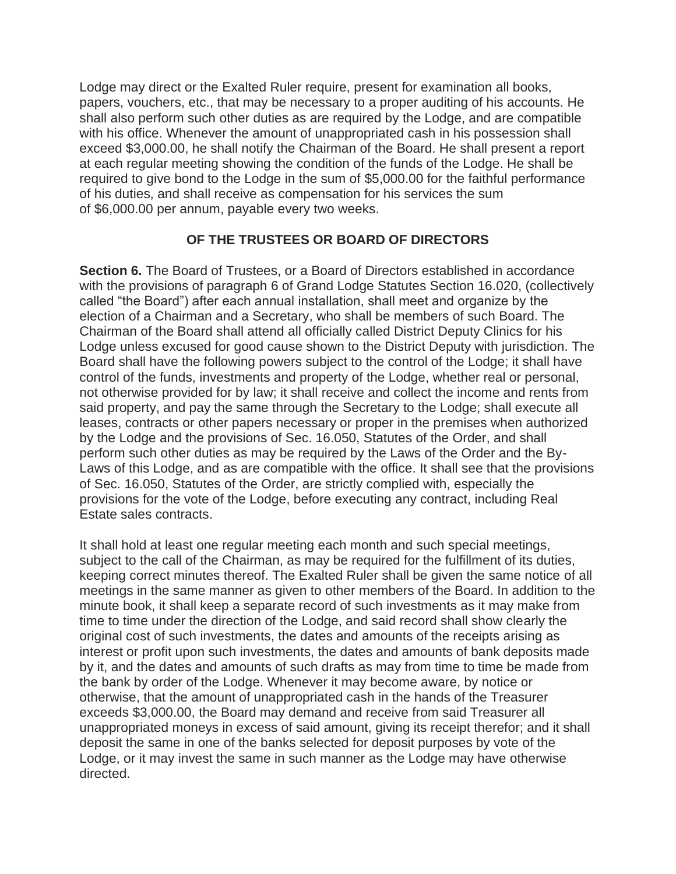Lodge may direct or the Exalted Ruler require, present for examination all books, papers, vouchers, etc., that may be necessary to a proper auditing of his accounts. He shall also perform such other duties as are required by the Lodge, and are compatible with his office. Whenever the amount of unappropriated cash in his possession shall exceed \$3,000.00, he shall notify the Chairman of the Board. He shall present a report at each regular meeting showing the condition of the funds of the Lodge. He shall be required to give bond to the Lodge in the sum of \$5,000.00 for the faithful performance of his duties, and shall receive as compensation for his services the sum of \$6,000.00 per annum, payable every two weeks.

### **OF THE TRUSTEES OR BOARD OF DIRECTORS**

**Section 6.** The Board of Trustees, or a Board of Directors established in accordance with the provisions of paragraph 6 of Grand Lodge Statutes Section 16.020, (collectively called "the Board") after each annual installation, shall meet and organize by the election of a Chairman and a Secretary, who shall be members of such Board. The Chairman of the Board shall attend all officially called District Deputy Clinics for his Lodge unless excused for good cause shown to the District Deputy with jurisdiction. The Board shall have the following powers subject to the control of the Lodge; it shall have control of the funds, investments and property of the Lodge, whether real or personal, not otherwise provided for by law; it shall receive and collect the income and rents from said property, and pay the same through the Secretary to the Lodge; shall execute all leases, contracts or other papers necessary or proper in the premises when authorized by the Lodge and the provisions of Sec. 16.050, Statutes of the Order, and shall perform such other duties as may be required by the Laws of the Order and the By-Laws of this Lodge, and as are compatible with the office. It shall see that the provisions of Sec. 16.050, Statutes of the Order, are strictly complied with, especially the provisions for the vote of the Lodge, before executing any contract, including Real Estate sales contracts.

It shall hold at least one regular meeting each month and such special meetings, subject to the call of the Chairman, as may be required for the fulfillment of its duties, keeping correct minutes thereof. The Exalted Ruler shall be given the same notice of all meetings in the same manner as given to other members of the Board. In addition to the minute book, it shall keep a separate record of such investments as it may make from time to time under the direction of the Lodge, and said record shall show clearly the original cost of such investments, the dates and amounts of the receipts arising as interest or profit upon such investments, the dates and amounts of bank deposits made by it, and the dates and amounts of such drafts as may from time to time be made from the bank by order of the Lodge. Whenever it may become aware, by notice or otherwise, that the amount of unappropriated cash in the hands of the Treasurer exceeds \$3,000.00, the Board may demand and receive from said Treasurer all unappropriated moneys in excess of said amount, giving its receipt therefor; and it shall deposit the same in one of the banks selected for deposit purposes by vote of the Lodge, or it may invest the same in such manner as the Lodge may have otherwise directed.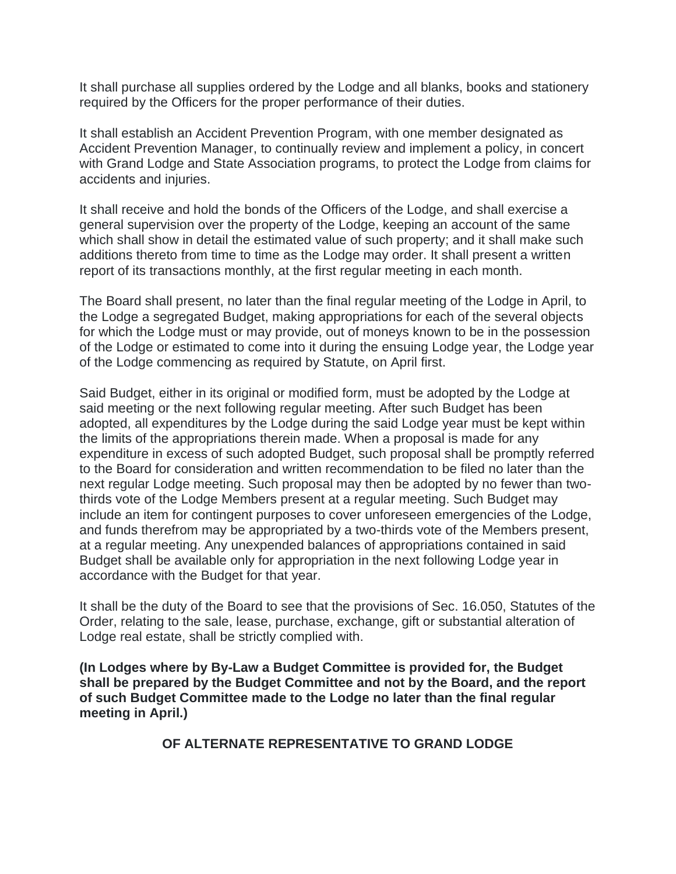It shall purchase all supplies ordered by the Lodge and all blanks, books and stationery required by the Officers for the proper performance of their duties.

It shall establish an Accident Prevention Program, with one member designated as Accident Prevention Manager, to continually review and implement a policy, in concert with Grand Lodge and State Association programs, to protect the Lodge from claims for accidents and injuries.

It shall receive and hold the bonds of the Officers of the Lodge, and shall exercise a general supervision over the property of the Lodge, keeping an account of the same which shall show in detail the estimated value of such property; and it shall make such additions thereto from time to time as the Lodge may order. It shall present a written report of its transactions monthly, at the first regular meeting in each month.

The Board shall present, no later than the final regular meeting of the Lodge in April, to the Lodge a segregated Budget, making appropriations for each of the several objects for which the Lodge must or may provide, out of moneys known to be in the possession of the Lodge or estimated to come into it during the ensuing Lodge year, the Lodge year of the Lodge commencing as required by Statute, on April first.

Said Budget, either in its original or modified form, must be adopted by the Lodge at said meeting or the next following regular meeting. After such Budget has been adopted, all expenditures by the Lodge during the said Lodge year must be kept within the limits of the appropriations therein made. When a proposal is made for any expenditure in excess of such adopted Budget, such proposal shall be promptly referred to the Board for consideration and written recommendation to be filed no later than the next regular Lodge meeting. Such proposal may then be adopted by no fewer than twothirds vote of the Lodge Members present at a regular meeting. Such Budget may include an item for contingent purposes to cover unforeseen emergencies of the Lodge, and funds therefrom may be appropriated by a two-thirds vote of the Members present, at a regular meeting. Any unexpended balances of appropriations contained in said Budget shall be available only for appropriation in the next following Lodge year in accordance with the Budget for that year.

It shall be the duty of the Board to see that the provisions of Sec. 16.050, Statutes of the Order, relating to the sale, lease, purchase, exchange, gift or substantial alteration of Lodge real estate, shall be strictly complied with.

**(In Lodges where by By-Law a Budget Committee is provided for, the Budget shall be prepared by the Budget Committee and not by the Board, and the report of such Budget Committee made to the Lodge no later than the final regular meeting in April.)**

**OF ALTERNATE REPRESENTATIVE TO GRAND LODGE**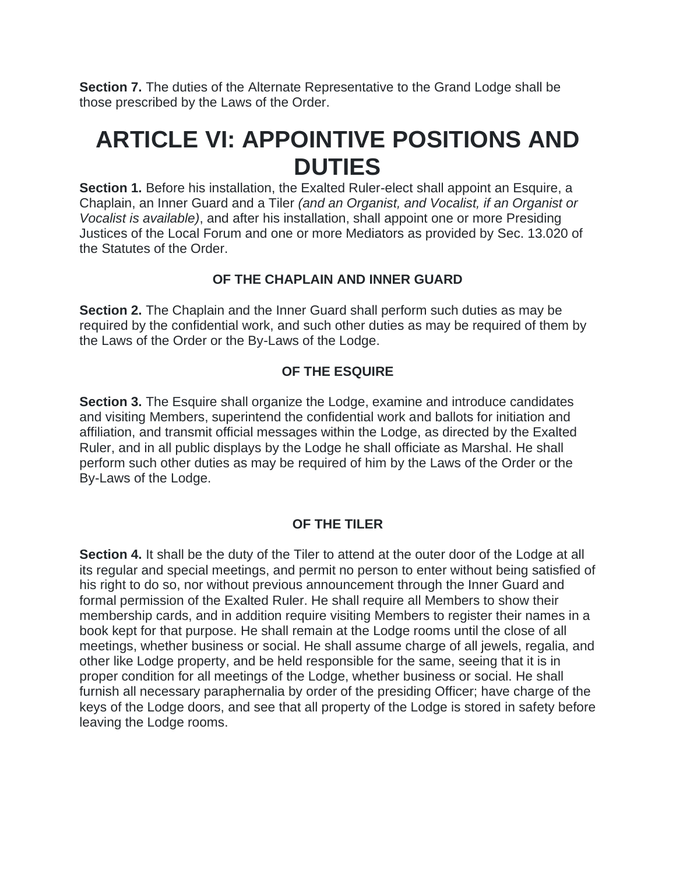**Section 7.** The duties of the Alternate Representative to the Grand Lodge shall be those prescribed by the Laws of the Order.

### **ARTICLE VI: APPOINTIVE POSITIONS AND DUTIES**

**Section 1.** Before his installation, the Exalted Ruler-elect shall appoint an Esquire, a Chaplain, an Inner Guard and a Tiler *(and an Organist, and Vocalist, if an Organist or Vocalist is available)*, and after his installation, shall appoint one or more Presiding Justices of the Local Forum and one or more Mediators as provided by Sec. 13.020 of the Statutes of the Order.

### **OF THE CHAPLAIN AND INNER GUARD**

**Section 2.** The Chaplain and the Inner Guard shall perform such duties as may be required by the confidential work, and such other duties as may be required of them by the Laws of the Order or the By-Laws of the Lodge.

### **OF THE ESQUIRE**

**Section 3.** The Esquire shall organize the Lodge, examine and introduce candidates and visiting Members, superintend the confidential work and ballots for initiation and affiliation, and transmit official messages within the Lodge, as directed by the Exalted Ruler, and in all public displays by the Lodge he shall officiate as Marshal. He shall perform such other duties as may be required of him by the Laws of the Order or the By-Laws of the Lodge.

### **OF THE TILER**

**Section 4.** It shall be the duty of the Tiler to attend at the outer door of the Lodge at all its regular and special meetings, and permit no person to enter without being satisfied of his right to do so, nor without previous announcement through the Inner Guard and formal permission of the Exalted Ruler. He shall require all Members to show their membership cards, and in addition require visiting Members to register their names in a book kept for that purpose. He shall remain at the Lodge rooms until the close of all meetings, whether business or social. He shall assume charge of all jewels, regalia, and other like Lodge property, and be held responsible for the same, seeing that it is in proper condition for all meetings of the Lodge, whether business or social. He shall furnish all necessary paraphernalia by order of the presiding Officer; have charge of the keys of the Lodge doors, and see that all property of the Lodge is stored in safety before leaving the Lodge rooms.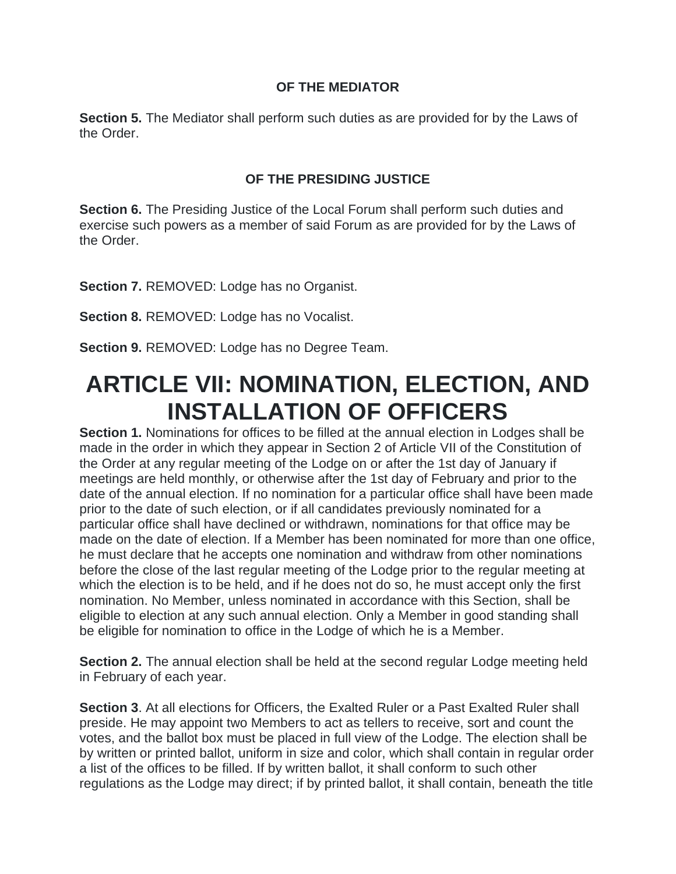### **OF THE MEDIATOR**

**Section 5.** The Mediator shall perform such duties as are provided for by the Laws of the Order.

### **OF THE PRESIDING JUSTICE**

**Section 6.** The Presiding Justice of the Local Forum shall perform such duties and exercise such powers as a member of said Forum as are provided for by the Laws of the Order.

**Section 7.** REMOVED: Lodge has no Organist.

**Section 8.** REMOVED: Lodge has no Vocalist.

**Section 9.** REMOVED: Lodge has no Degree Team.

## **ARTICLE VII: NOMINATION, ELECTION, AND INSTALLATION OF OFFICERS**

**Section 1.** Nominations for offices to be filled at the annual election in Lodges shall be made in the order in which they appear in Section 2 of Article VII of the Constitution of the Order at any regular meeting of the Lodge on or after the 1st day of January if meetings are held monthly, or otherwise after the 1st day of February and prior to the date of the annual election. If no nomination for a particular office shall have been made prior to the date of such election, or if all candidates previously nominated for a particular office shall have declined or withdrawn, nominations for that office may be made on the date of election. If a Member has been nominated for more than one office, he must declare that he accepts one nomination and withdraw from other nominations before the close of the last regular meeting of the Lodge prior to the regular meeting at which the election is to be held, and if he does not do so, he must accept only the first nomination. No Member, unless nominated in accordance with this Section, shall be eligible to election at any such annual election. Only a Member in good standing shall be eligible for nomination to office in the Lodge of which he is a Member.

**Section 2.** The annual election shall be held at the second regular Lodge meeting held in February of each year.

**Section 3**. At all elections for Officers, the Exalted Ruler or a Past Exalted Ruler shall preside. He may appoint two Members to act as tellers to receive, sort and count the votes, and the ballot box must be placed in full view of the Lodge. The election shall be by written or printed ballot, uniform in size and color, which shall contain in regular order a list of the offices to be filled. If by written ballot, it shall conform to such other regulations as the Lodge may direct; if by printed ballot, it shall contain, beneath the title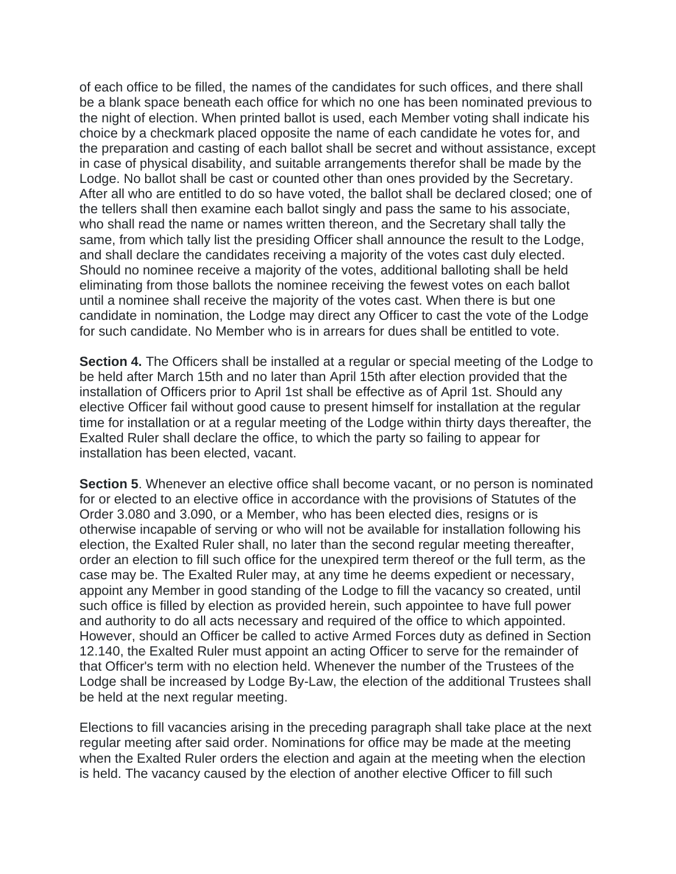of each office to be filled, the names of the candidates for such offices, and there shall be a blank space beneath each office for which no one has been nominated previous to the night of election. When printed ballot is used, each Member voting shall indicate his choice by a checkmark placed opposite the name of each candidate he votes for, and the preparation and casting of each ballot shall be secret and without assistance, except in case of physical disability, and suitable arrangements therefor shall be made by the Lodge. No ballot shall be cast or counted other than ones provided by the Secretary. After all who are entitled to do so have voted, the ballot shall be declared closed; one of the tellers shall then examine each ballot singly and pass the same to his associate, who shall read the name or names written thereon, and the Secretary shall tally the same, from which tally list the presiding Officer shall announce the result to the Lodge, and shall declare the candidates receiving a majority of the votes cast duly elected. Should no nominee receive a majority of the votes, additional balloting shall be held eliminating from those ballots the nominee receiving the fewest votes on each ballot until a nominee shall receive the majority of the votes cast. When there is but one candidate in nomination, the Lodge may direct any Officer to cast the vote of the Lodge for such candidate. No Member who is in arrears for dues shall be entitled to vote.

**Section 4.** The Officers shall be installed at a regular or special meeting of the Lodge to be held after March 15th and no later than April 15th after election provided that the installation of Officers prior to April 1st shall be effective as of April 1st. Should any elective Officer fail without good cause to present himself for installation at the regular time for installation or at a regular meeting of the Lodge within thirty days thereafter, the Exalted Ruler shall declare the office, to which the party so failing to appear for installation has been elected, vacant.

**Section 5**. Whenever an elective office shall become vacant, or no person is nominated for or elected to an elective office in accordance with the provisions of Statutes of the Order 3.080 and 3.090, or a Member, who has been elected dies, resigns or is otherwise incapable of serving or who will not be available for installation following his election, the Exalted Ruler shall, no later than the second regular meeting thereafter, order an election to fill such office for the unexpired term thereof or the full term, as the case may be. The Exalted Ruler may, at any time he deems expedient or necessary, appoint any Member in good standing of the Lodge to fill the vacancy so created, until such office is filled by election as provided herein, such appointee to have full power and authority to do all acts necessary and required of the office to which appointed. However, should an Officer be called to active Armed Forces duty as defined in Section 12.140, the Exalted Ruler must appoint an acting Officer to serve for the remainder of that Officer's term with no election held. Whenever the number of the Trustees of the Lodge shall be increased by Lodge By-Law, the election of the additional Trustees shall be held at the next regular meeting.

Elections to fill vacancies arising in the preceding paragraph shall take place at the next regular meeting after said order. Nominations for office may be made at the meeting when the Exalted Ruler orders the election and again at the meeting when the election is held. The vacancy caused by the election of another elective Officer to fill such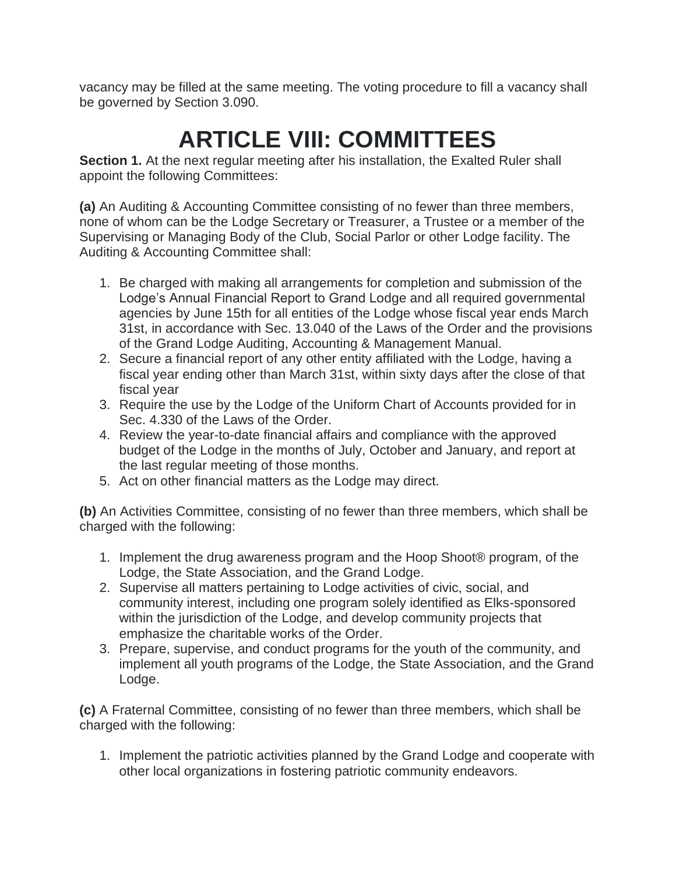vacancy may be filled at the same meeting. The voting procedure to fill a vacancy shall be governed by Section 3.090.

# **ARTICLE VIII: COMMITTEES**

**Section 1.** At the next regular meeting after his installation, the Exalted Ruler shall appoint the following Committees:

**(a)** An Auditing & Accounting Committee consisting of no fewer than three members, none of whom can be the Lodge Secretary or Treasurer, a Trustee or a member of the Supervising or Managing Body of the Club, Social Parlor or other Lodge facility. The Auditing & Accounting Committee shall:

- 1. Be charged with making all arrangements for completion and submission of the Lodge's Annual Financial Report to Grand Lodge and all required governmental agencies by June 15th for all entities of the Lodge whose fiscal year ends March 31st, in accordance with Sec. 13.040 of the Laws of the Order and the provisions of the Grand Lodge Auditing, Accounting & Management Manual.
- 2. Secure a financial report of any other entity affiliated with the Lodge, having a fiscal year ending other than March 31st, within sixty days after the close of that fiscal year
- 3. Require the use by the Lodge of the Uniform Chart of Accounts provided for in Sec. 4.330 of the Laws of the Order.
- 4. Review the year-to-date financial affairs and compliance with the approved budget of the Lodge in the months of July, October and January, and report at the last regular meeting of those months.
- 5. Act on other financial matters as the Lodge may direct.

**(b)** An Activities Committee, consisting of no fewer than three members, which shall be charged with the following:

- 1. Implement the drug awareness program and the Hoop Shoot® program, of the Lodge, the State Association, and the Grand Lodge.
- 2. Supervise all matters pertaining to Lodge activities of civic, social, and community interest, including one program solely identified as Elks-sponsored within the jurisdiction of the Lodge, and develop community projects that emphasize the charitable works of the Order.
- 3. Prepare, supervise, and conduct programs for the youth of the community, and implement all youth programs of the Lodge, the State Association, and the Grand Lodge.

**(c)** A Fraternal Committee, consisting of no fewer than three members, which shall be charged with the following:

1. Implement the patriotic activities planned by the Grand Lodge and cooperate with other local organizations in fostering patriotic community endeavors.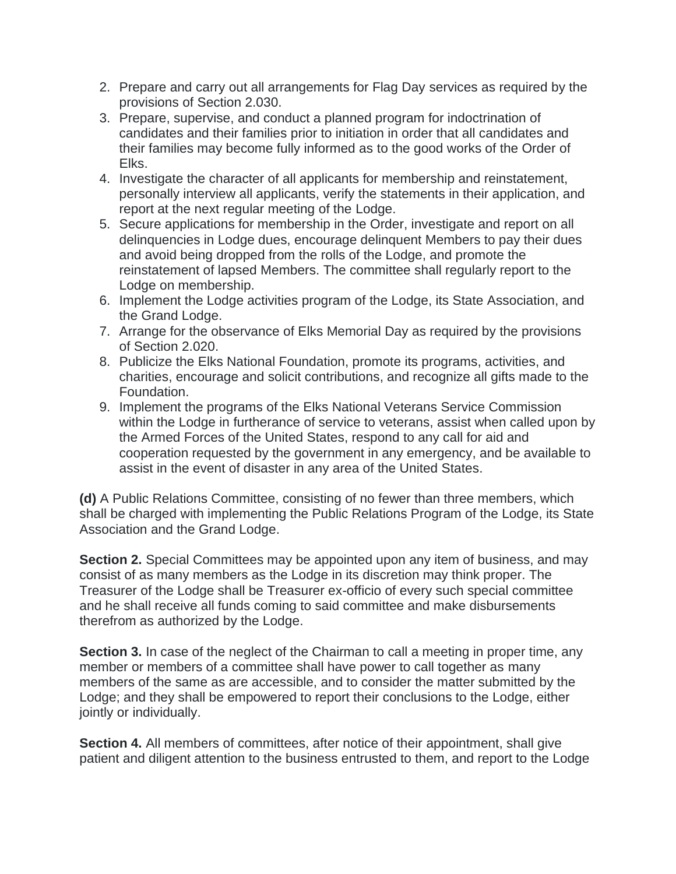- 2. Prepare and carry out all arrangements for Flag Day services as required by the provisions of Section 2.030.
- 3. Prepare, supervise, and conduct a planned program for indoctrination of candidates and their families prior to initiation in order that all candidates and their families may become fully informed as to the good works of the Order of Elks.
- 4. Investigate the character of all applicants for membership and reinstatement, personally interview all applicants, verify the statements in their application, and report at the next regular meeting of the Lodge.
- 5. Secure applications for membership in the Order, investigate and report on all delinquencies in Lodge dues, encourage delinquent Members to pay their dues and avoid being dropped from the rolls of the Lodge, and promote the reinstatement of lapsed Members. The committee shall regularly report to the Lodge on membership.
- 6. Implement the Lodge activities program of the Lodge, its State Association, and the Grand Lodge.
- 7. Arrange for the observance of Elks Memorial Day as required by the provisions of Section 2.020.
- 8. Publicize the Elks National Foundation, promote its programs, activities, and charities, encourage and solicit contributions, and recognize all gifts made to the Foundation.
- 9. Implement the programs of the Elks National Veterans Service Commission within the Lodge in furtherance of service to veterans, assist when called upon by the Armed Forces of the United States, respond to any call for aid and cooperation requested by the government in any emergency, and be available to assist in the event of disaster in any area of the United States.

**(d)** A Public Relations Committee, consisting of no fewer than three members, which shall be charged with implementing the Public Relations Program of the Lodge, its State Association and the Grand Lodge.

**Section 2.** Special Committees may be appointed upon any item of business, and may consist of as many members as the Lodge in its discretion may think proper. The Treasurer of the Lodge shall be Treasurer ex-officio of every such special committee and he shall receive all funds coming to said committee and make disbursements therefrom as authorized by the Lodge.

**Section 3.** In case of the neglect of the Chairman to call a meeting in proper time, any member or members of a committee shall have power to call together as many members of the same as are accessible, and to consider the matter submitted by the Lodge; and they shall be empowered to report their conclusions to the Lodge, either jointly or individually.

**Section 4.** All members of committees, after notice of their appointment, shall give patient and diligent attention to the business entrusted to them, and report to the Lodge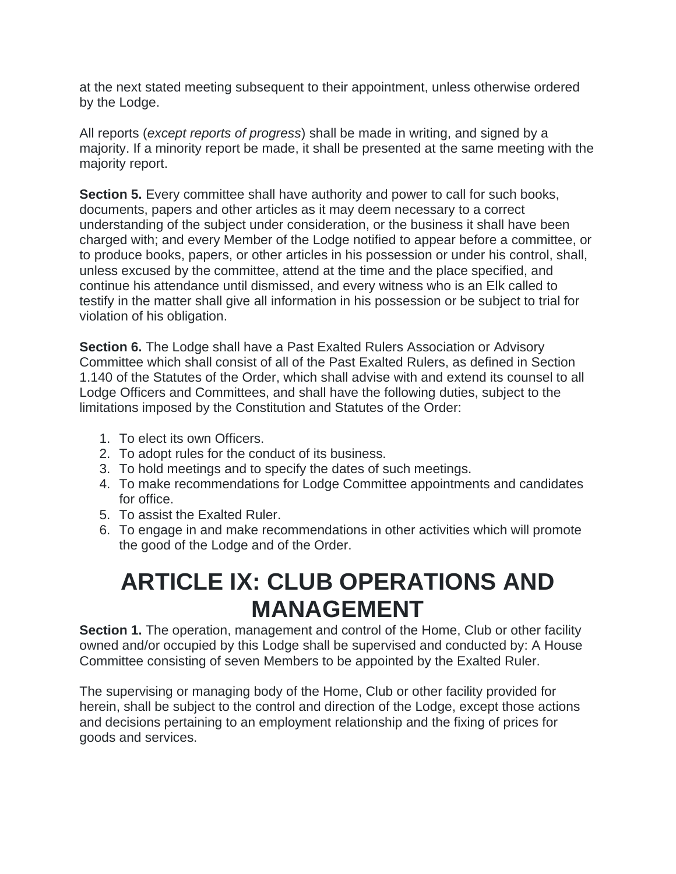at the next stated meeting subsequent to their appointment, unless otherwise ordered by the Lodge.

All reports (*except reports of progress*) shall be made in writing, and signed by a majority. If a minority report be made, it shall be presented at the same meeting with the majority report.

**Section 5.** Every committee shall have authority and power to call for such books, documents, papers and other articles as it may deem necessary to a correct understanding of the subject under consideration, or the business it shall have been charged with; and every Member of the Lodge notified to appear before a committee, or to produce books, papers, or other articles in his possession or under his control, shall, unless excused by the committee, attend at the time and the place specified, and continue his attendance until dismissed, and every witness who is an Elk called to testify in the matter shall give all information in his possession or be subject to trial for violation of his obligation.

**Section 6.** The Lodge shall have a Past Exalted Rulers Association or Advisory Committee which shall consist of all of the Past Exalted Rulers, as defined in Section 1.140 of the Statutes of the Order, which shall advise with and extend its counsel to all Lodge Officers and Committees, and shall have the following duties, subject to the limitations imposed by the Constitution and Statutes of the Order:

- 1. To elect its own Officers.
- 2. To adopt rules for the conduct of its business.
- 3. To hold meetings and to specify the dates of such meetings.
- 4. To make recommendations for Lodge Committee appointments and candidates for office.
- 5. To assist the Exalted Ruler.
- 6. To engage in and make recommendations in other activities which will promote the good of the Lodge and of the Order.

## **ARTICLE IX: CLUB OPERATIONS AND MANAGEMENT**

**Section 1.** The operation, management and control of the Home, Club or other facility owned and/or occupied by this Lodge shall be supervised and conducted by: A House Committee consisting of seven Members to be appointed by the Exalted Ruler.

The supervising or managing body of the Home, Club or other facility provided for herein, shall be subject to the control and direction of the Lodge, except those actions and decisions pertaining to an employment relationship and the fixing of prices for goods and services.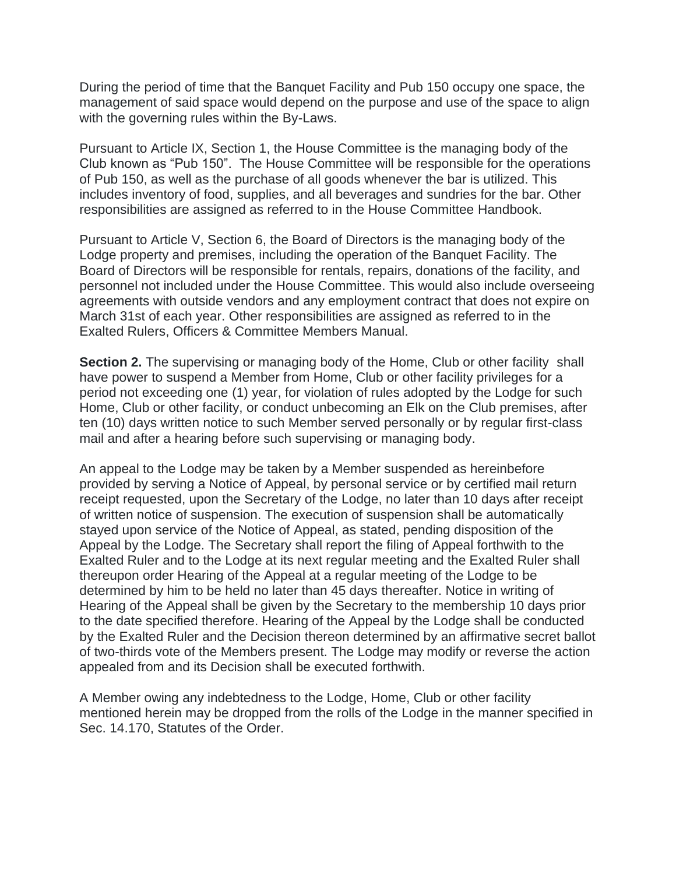During the period of time that the Banquet Facility and Pub 150 occupy one space, the management of said space would depend on the purpose and use of the space to align with the governing rules within the By-Laws.

Pursuant to Article IX, Section 1, the House Committee is the managing body of the Club known as "Pub 150". The House Committee will be responsible for the operations of Pub 150, as well as the purchase of all goods whenever the bar is utilized. This includes inventory of food, supplies, and all beverages and sundries for the bar. Other responsibilities are assigned as referred to in the House Committee Handbook.

Pursuant to Article V, Section 6, the Board of Directors is the managing body of the Lodge property and premises, including the operation of the Banquet Facility. The Board of Directors will be responsible for rentals, repairs, donations of the facility, and personnel not included under the House Committee. This would also include overseeing agreements with outside vendors and any employment contract that does not expire on March 31st of each year. Other responsibilities are assigned as referred to in the Exalted Rulers, Officers & Committee Members Manual.

**Section 2.** The supervising or managing body of the Home, Club or other facility shall have power to suspend a Member from Home, Club or other facility privileges for a period not exceeding one (1) year, for violation of rules adopted by the Lodge for such Home, Club or other facility, or conduct unbecoming an Elk on the Club premises, after ten (10) days written notice to such Member served personally or by regular first-class mail and after a hearing before such supervising or managing body.

An appeal to the Lodge may be taken by a Member suspended as hereinbefore provided by serving a Notice of Appeal, by personal service or by certified mail return receipt requested, upon the Secretary of the Lodge, no later than 10 days after receipt of written notice of suspension. The execution of suspension shall be automatically stayed upon service of the Notice of Appeal, as stated, pending disposition of the Appeal by the Lodge. The Secretary shall report the filing of Appeal forthwith to the Exalted Ruler and to the Lodge at its next regular meeting and the Exalted Ruler shall thereupon order Hearing of the Appeal at a regular meeting of the Lodge to be determined by him to be held no later than 45 days thereafter. Notice in writing of Hearing of the Appeal shall be given by the Secretary to the membership 10 days prior to the date specified therefore. Hearing of the Appeal by the Lodge shall be conducted by the Exalted Ruler and the Decision thereon determined by an affirmative secret ballot of two-thirds vote of the Members present. The Lodge may modify or reverse the action appealed from and its Decision shall be executed forthwith.

A Member owing any indebtedness to the Lodge, Home, Club or other facility mentioned herein may be dropped from the rolls of the Lodge in the manner specified in Sec. 14.170, Statutes of the Order.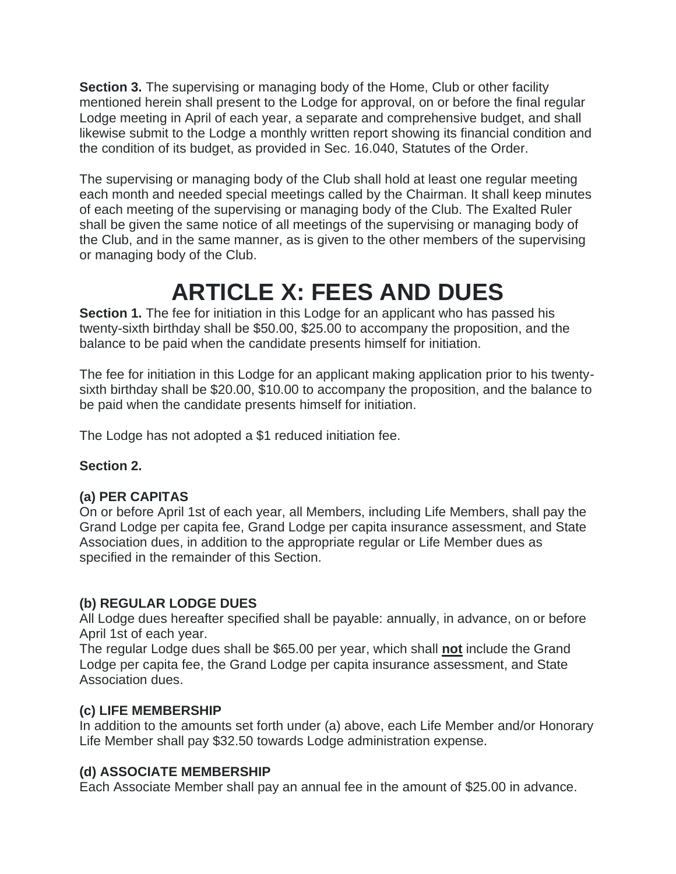**Section 3.** The supervising or managing body of the Home, Club or other facility mentioned herein shall present to the Lodge for approval, on or before the final regular Lodge meeting in April of each year, a separate and comprehensive budget, and shall likewise submit to the Lodge a monthly written report showing its financial condition and the condition of its budget, as provided in Sec. 16.040, Statutes of the Order.

The supervising or managing body of the Club shall hold at least one regular meeting each month and needed special meetings called by the Chairman. It shall keep minutes of each meeting of the supervising or managing body of the Club. The Exalted Ruler shall be given the same notice of all meetings of the supervising or managing body of the Club, and in the same manner, as is given to the other members of the supervising or managing body of the Club.

## **ARTICLE X: FEES AND DUES**

**Section 1.** The fee for initiation in this Lodge for an applicant who has passed his twenty-sixth birthday shall be \$50.00, \$25.00 to accompany the proposition, and the balance to be paid when the candidate presents himself for initiation.

The fee for initiation in this Lodge for an applicant making application prior to his twentysixth birthday shall be \$20.00, \$10.00 to accompany the proposition, and the balance to be paid when the candidate presents himself for initiation.

The Lodge has not adopted a \$1 reduced initiation fee.

### **Section 2.**

### **(a) PER CAPITAS**

On or before April 1st of each year, all Members, including Life Members, shall pay the Grand Lodge per capita fee, Grand Lodge per capita insurance assessment, and State Association dues, in addition to the appropriate regular or Life Member dues as specified in the remainder of this Section.

### **(b) REGULAR LODGE DUES**

All Lodge dues hereafter specified shall be payable: annually, in advance, on or before April 1st of each year.

The regular Lodge dues shall be \$65.00 per year, which shall **not** include the Grand Lodge per capita fee, the Grand Lodge per capita insurance assessment, and State Association dues.

### **(c) LIFE MEMBERSHIP**

In addition to the amounts set forth under (a) above, each Life Member and/or Honorary Life Member shall pay \$32.50 towards Lodge administration expense.

### **(d) ASSOCIATE MEMBERSHIP**

Each Associate Member shall pay an annual fee in the amount of \$25.00 in advance.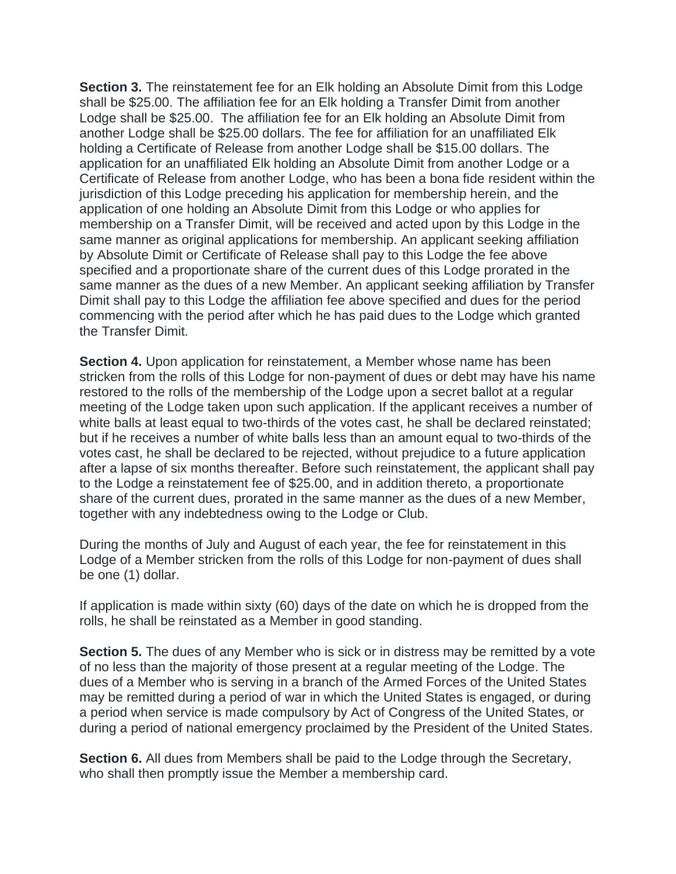**Section 3.** The reinstatement fee for an Elk holding an Absolute Dimit from this Lodge shall be \$25.00. The affiliation fee for an Elk holding a Transfer Dimit from another Lodge shall be \$25.00. The affiliation fee for an Elk holding an Absolute Dimit from another Lodge shall be \$25.00 dollars. The fee for affiliation for an unaffiliated Elk holding a Certificate of Release from another Lodge shall be \$15.00 dollars. The application for an unaffiliated Elk holding an Absolute Dimit from another Lodge or a Certificate of Release from another Lodge, who has been a bona fide resident within the jurisdiction of this Lodge preceding his application for membership herein, and the application of one holding an Absolute Dimit from this Lodge or who applies for membership on a Transfer Dimit, will be received and acted upon by this Lodge in the same manner as original applications for membership. An applicant seeking affiliation by Absolute Dimit or Certificate of Release shall pay to this Lodge the fee above specified and a proportionate share of the current dues of this Lodge prorated in the same manner as the dues of a new Member. An applicant seeking affiliation by Transfer Dimit shall pay to this Lodge the affiliation fee above specified and dues for the period commencing with the period after which he has paid dues to the Lodge which granted the Transfer Dimit.

**Section 4.** Upon application for reinstatement, a Member whose name has been stricken from the rolls of this Lodge for non-payment of dues or debt may have his name restored to the rolls of the membership of the Lodge upon a secret ballot at a regular meeting of the Lodge taken upon such application. If the applicant receives a number of white balls at least equal to two-thirds of the votes cast, he shall be declared reinstated; but if he receives a number of white balls less than an amount equal to two-thirds of the votes cast, he shall be declared to be rejected, without prejudice to a future application after a lapse of six months thereafter. Before such reinstatement, the applicant shall pay to the Lodge a reinstatement fee of \$25.00, and in addition thereto, a proportionate share of the current dues, prorated in the same manner as the dues of a new Member, together with any indebtedness owing to the Lodge or Club.

During the months of July and August of each year, the fee for reinstatement in this Lodge of a Member stricken from the rolls of this Lodge for non-payment of dues shall be one (1) dollar.

If application is made within sixty (60) days of the date on which he is dropped from the rolls, he shall be reinstated as a Member in good standing.

**Section 5.** The dues of any Member who is sick or in distress may be remitted by a vote of no less than the majority of those present at a regular meeting of the Lodge. The dues of a Member who is serving in a branch of the Armed Forces of the United States may be remitted during a period of war in which the United States is engaged, or during a period when service is made compulsory by Act of Congress of the United States, or during a period of national emergency proclaimed by the President of the United States.

**Section 6.** All dues from Members shall be paid to the Lodge through the Secretary, who shall then promptly issue the Member a membership card.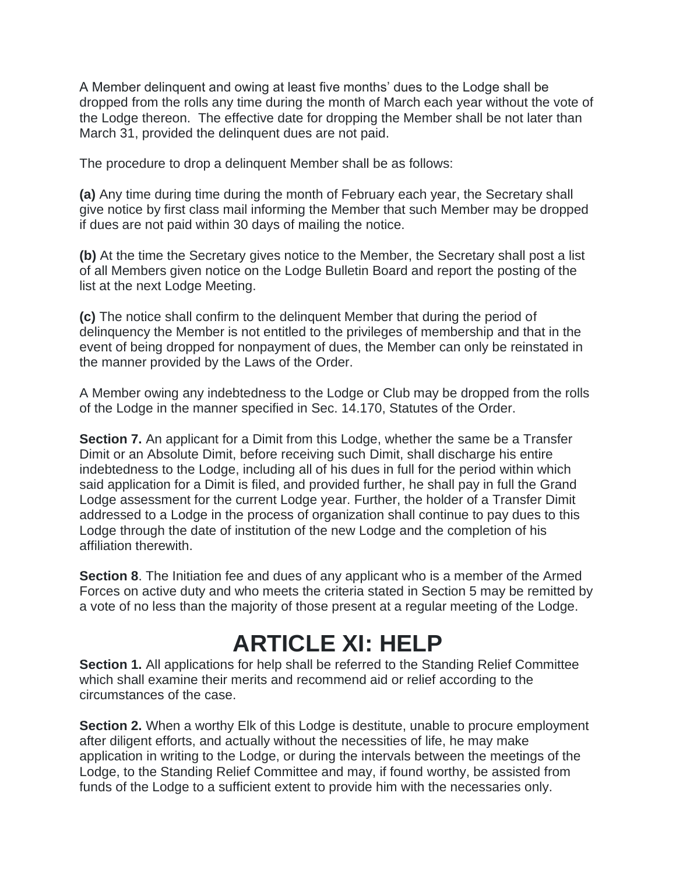A Member delinquent and owing at least five months' dues to the Lodge shall be dropped from the rolls any time during the month of March each year without the vote of the Lodge thereon. The effective date for dropping the Member shall be not later than March 31, provided the delinquent dues are not paid.

The procedure to drop a delinquent Member shall be as follows:

**(a)** Any time during time during the month of February each year, the Secretary shall give notice by first class mail informing the Member that such Member may be dropped if dues are not paid within 30 days of mailing the notice.

**(b)** At the time the Secretary gives notice to the Member, the Secretary shall post a list of all Members given notice on the Lodge Bulletin Board and report the posting of the list at the next Lodge Meeting.

**(c)** The notice shall confirm to the delinquent Member that during the period of delinquency the Member is not entitled to the privileges of membership and that in the event of being dropped for nonpayment of dues, the Member can only be reinstated in the manner provided by the Laws of the Order.

A Member owing any indebtedness to the Lodge or Club may be dropped from the rolls of the Lodge in the manner specified in Sec. 14.170, Statutes of the Order.

**Section 7.** An applicant for a Dimit from this Lodge, whether the same be a Transfer Dimit or an Absolute Dimit, before receiving such Dimit, shall discharge his entire indebtedness to the Lodge, including all of his dues in full for the period within which said application for a Dimit is filed, and provided further, he shall pay in full the Grand Lodge assessment for the current Lodge year. Further, the holder of a Transfer Dimit addressed to a Lodge in the process of organization shall continue to pay dues to this Lodge through the date of institution of the new Lodge and the completion of his affiliation therewith.

**Section 8**. The Initiation fee and dues of any applicant who is a member of the Armed Forces on active duty and who meets the criteria stated in Section 5 may be remitted by a vote of no less than the majority of those present at a regular meeting of the Lodge.

# **ARTICLE XI: HELP**

**Section 1.** All applications for help shall be referred to the Standing Relief Committee which shall examine their merits and recommend aid or relief according to the circumstances of the case.

**Section 2.** When a worthy Elk of this Lodge is destitute, unable to procure employment after diligent efforts, and actually without the necessities of life, he may make application in writing to the Lodge, or during the intervals between the meetings of the Lodge, to the Standing Relief Committee and may, if found worthy, be assisted from funds of the Lodge to a sufficient extent to provide him with the necessaries only.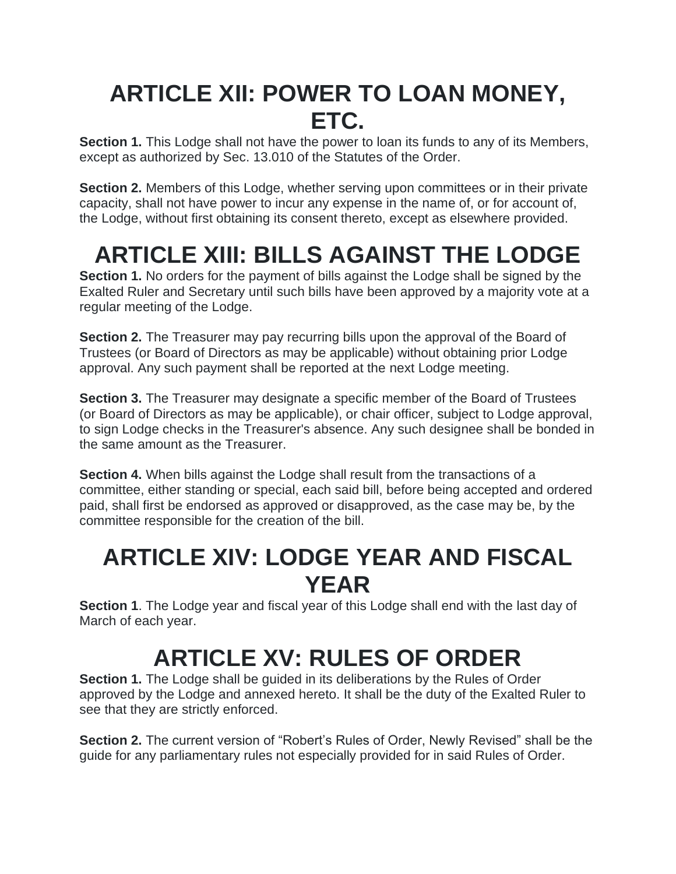## **ARTICLE XII: POWER TO LOAN MONEY, ETC.**

**Section 1.** This Lodge shall not have the power to loan its funds to any of its Members, except as authorized by Sec. 13.010 of the Statutes of the Order.

**Section 2.** Members of this Lodge, whether serving upon committees or in their private capacity, shall not have power to incur any expense in the name of, or for account of, the Lodge, without first obtaining its consent thereto, except as elsewhere provided.

# **ARTICLE XIII: BILLS AGAINST THE LODGE**

**Section 1.** No orders for the payment of bills against the Lodge shall be signed by the Exalted Ruler and Secretary until such bills have been approved by a majority vote at a regular meeting of the Lodge.

**Section 2.** The Treasurer may pay recurring bills upon the approval of the Board of Trustees (or Board of Directors as may be applicable) without obtaining prior Lodge approval. Any such payment shall be reported at the next Lodge meeting.

**Section 3.** The Treasurer may designate a specific member of the Board of Trustees (or Board of Directors as may be applicable), or chair officer, subject to Lodge approval, to sign Lodge checks in the Treasurer's absence. Any such designee shall be bonded in the same amount as the Treasurer.

**Section 4.** When bills against the Lodge shall result from the transactions of a committee, either standing or special, each said bill, before being accepted and ordered paid, shall first be endorsed as approved or disapproved, as the case may be, by the committee responsible for the creation of the bill.

## **ARTICLE XIV: LODGE YEAR AND FISCAL YEAR**

**Section 1**. The Lodge year and fiscal year of this Lodge shall end with the last day of March of each year.

# **ARTICLE XV: RULES OF ORDER**

**Section 1.** The Lodge shall be guided in its deliberations by the Rules of Order approved by the Lodge and annexed hereto. It shall be the duty of the Exalted Ruler to see that they are strictly enforced.

**Section 2.** The current version of "Robert's Rules of Order, Newly Revised" shall be the guide for any parliamentary rules not especially provided for in said Rules of Order.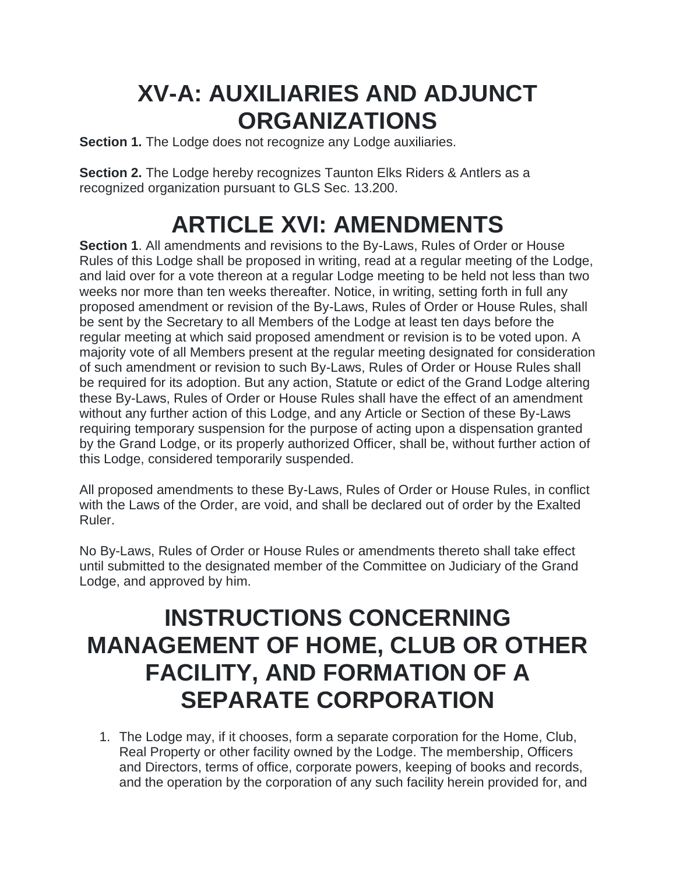## **XV-A: AUXILIARIES AND ADJUNCT ORGANIZATIONS**

**Section 1.** The Lodge does not recognize any Lodge auxiliaries.

**Section 2.** The Lodge hereby recognizes Taunton Elks Riders & Antlers as a recognized organization pursuant to GLS Sec. 13.200.

# **ARTICLE XVI: AMENDMENTS**

**Section 1**. All amendments and revisions to the By-Laws, Rules of Order or House Rules of this Lodge shall be proposed in writing, read at a regular meeting of the Lodge, and laid over for a vote thereon at a regular Lodge meeting to be held not less than two weeks nor more than ten weeks thereafter. Notice, in writing, setting forth in full any proposed amendment or revision of the By-Laws, Rules of Order or House Rules, shall be sent by the Secretary to all Members of the Lodge at least ten days before the regular meeting at which said proposed amendment or revision is to be voted upon. A majority vote of all Members present at the regular meeting designated for consideration of such amendment or revision to such By-Laws, Rules of Order or House Rules shall be required for its adoption. But any action, Statute or edict of the Grand Lodge altering these By-Laws, Rules of Order or House Rules shall have the effect of an amendment without any further action of this Lodge, and any Article or Section of these By-Laws requiring temporary suspension for the purpose of acting upon a dispensation granted by the Grand Lodge, or its properly authorized Officer, shall be, without further action of this Lodge, considered temporarily suspended.

All proposed amendments to these By-Laws, Rules of Order or House Rules, in conflict with the Laws of the Order, are void, and shall be declared out of order by the Exalted Ruler.

No By-Laws, Rules of Order or House Rules or amendments thereto shall take effect until submitted to the designated member of the Committee on Judiciary of the Grand Lodge, and approved by him.

## **INSTRUCTIONS CONCERNING MANAGEMENT OF HOME, CLUB OR OTHER FACILITY, AND FORMATION OF A SEPARATE CORPORATION**

1. The Lodge may, if it chooses, form a separate corporation for the Home, Club, Real Property or other facility owned by the Lodge. The membership, Officers and Directors, terms of office, corporate powers, keeping of books and records, and the operation by the corporation of any such facility herein provided for, and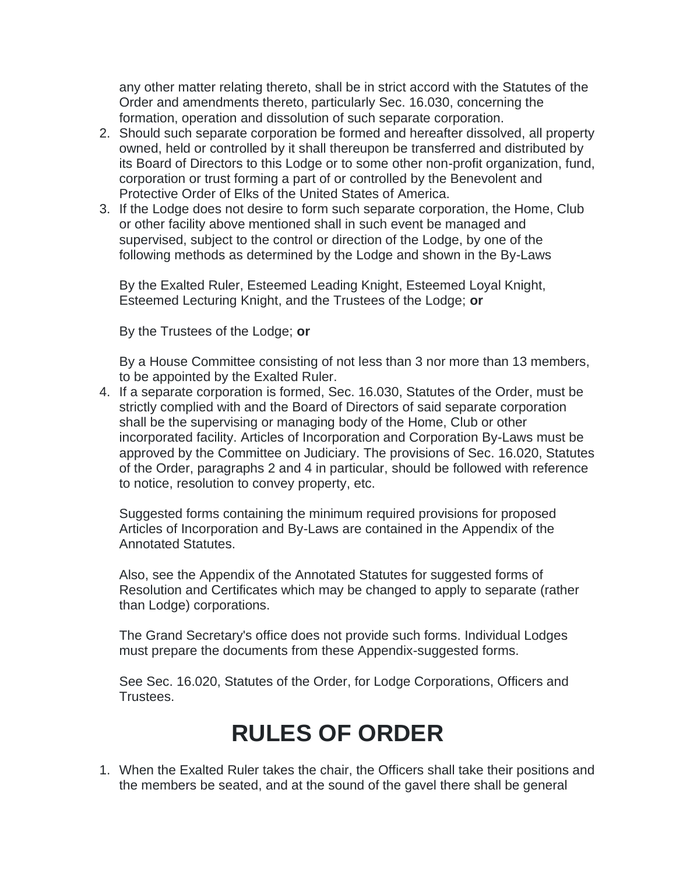any other matter relating thereto, shall be in strict accord with the Statutes of the Order and amendments thereto, particularly Sec. 16.030, concerning the formation, operation and dissolution of such separate corporation.

- 2. Should such separate corporation be formed and hereafter dissolved, all property owned, held or controlled by it shall thereupon be transferred and distributed by its Board of Directors to this Lodge or to some other non-profit organization, fund, corporation or trust forming a part of or controlled by the Benevolent and Protective Order of Elks of the United States of America.
- 3. If the Lodge does not desire to form such separate corporation, the Home, Club or other facility above mentioned shall in such event be managed and supervised, subject to the control or direction of the Lodge, by one of the following methods as determined by the Lodge and shown in the By-Laws

By the Exalted Ruler, Esteemed Leading Knight, Esteemed Loyal Knight, Esteemed Lecturing Knight, and the Trustees of the Lodge; **or**

By the Trustees of the Lodge; **or**

By a House Committee consisting of not less than 3 nor more than 13 members, to be appointed by the Exalted Ruler.

4. If a separate corporation is formed, Sec. 16.030, Statutes of the Order, must be strictly complied with and the Board of Directors of said separate corporation shall be the supervising or managing body of the Home, Club or other incorporated facility. Articles of Incorporation and Corporation By-Laws must be approved by the Committee on Judiciary. The provisions of Sec. 16.020, Statutes of the Order, paragraphs 2 and 4 in particular, should be followed with reference to notice, resolution to convey property, etc.

Suggested forms containing the minimum required provisions for proposed Articles of Incorporation and By-Laws are contained in the Appendix of the Annotated Statutes.

Also, see the Appendix of the Annotated Statutes for suggested forms of Resolution and Certificates which may be changed to apply to separate (rather than Lodge) corporations.

The Grand Secretary's office does not provide such forms. Individual Lodges must prepare the documents from these Appendix-suggested forms.

See Sec. 16.020, Statutes of the Order, for Lodge Corporations, Officers and Trustees.

## **RULES OF ORDER**

1. When the Exalted Ruler takes the chair, the Officers shall take their positions and the members be seated, and at the sound of the gavel there shall be general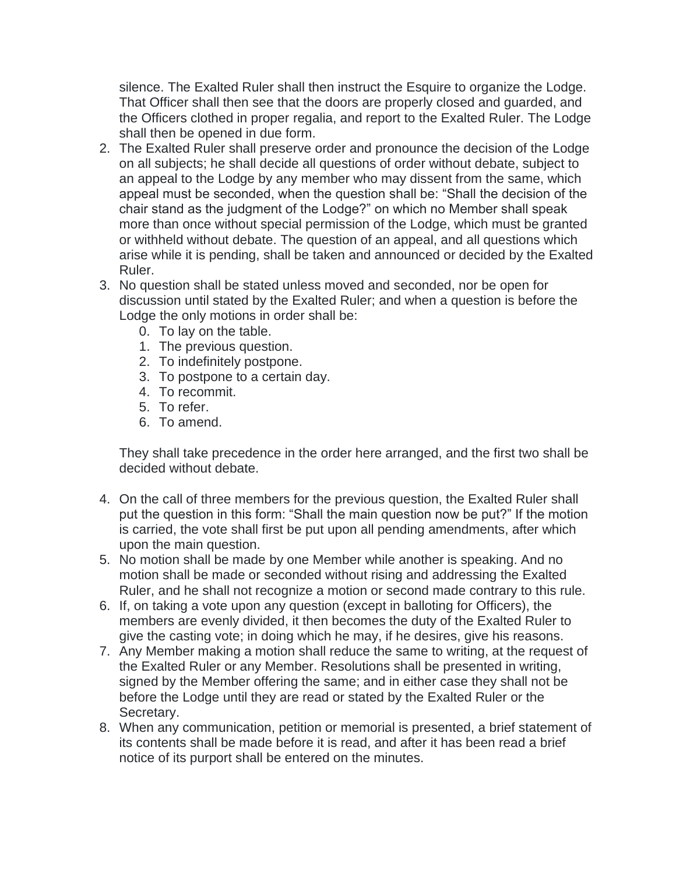silence. The Exalted Ruler shall then instruct the Esquire to organize the Lodge. That Officer shall then see that the doors are properly closed and guarded, and the Officers clothed in proper regalia, and report to the Exalted Ruler. The Lodge shall then be opened in due form.

- 2. The Exalted Ruler shall preserve order and pronounce the decision of the Lodge on all subjects; he shall decide all questions of order without debate, subject to an appeal to the Lodge by any member who may dissent from the same, which appeal must be seconded, when the question shall be: "Shall the decision of the chair stand as the judgment of the Lodge?" on which no Member shall speak more than once without special permission of the Lodge, which must be granted or withheld without debate. The question of an appeal, and all questions which arise while it is pending, shall be taken and announced or decided by the Exalted Ruler.
- 3. No question shall be stated unless moved and seconded, nor be open for discussion until stated by the Exalted Ruler; and when a question is before the Lodge the only motions in order shall be:
	- 0. To lay on the table.
	- 1. The previous question.
	- 2. To indefinitely postpone.
	- 3. To postpone to a certain day.
	- 4. To recommit.
	- 5. To refer.
	- 6. To amend.

They shall take precedence in the order here arranged, and the first two shall be decided without debate.

- 4. On the call of three members for the previous question, the Exalted Ruler shall put the question in this form: "Shall the main question now be put?" If the motion is carried, the vote shall first be put upon all pending amendments, after which upon the main question.
- 5. No motion shall be made by one Member while another is speaking. And no motion shall be made or seconded without rising and addressing the Exalted Ruler, and he shall not recognize a motion or second made contrary to this rule.
- 6. If, on taking a vote upon any question (except in balloting for Officers), the members are evenly divided, it then becomes the duty of the Exalted Ruler to give the casting vote; in doing which he may, if he desires, give his reasons.
- 7. Any Member making a motion shall reduce the same to writing, at the request of the Exalted Ruler or any Member. Resolutions shall be presented in writing, signed by the Member offering the same; and in either case they shall not be before the Lodge until they are read or stated by the Exalted Ruler or the Secretary.
- 8. When any communication, petition or memorial is presented, a brief statement of its contents shall be made before it is read, and after it has been read a brief notice of its purport shall be entered on the minutes.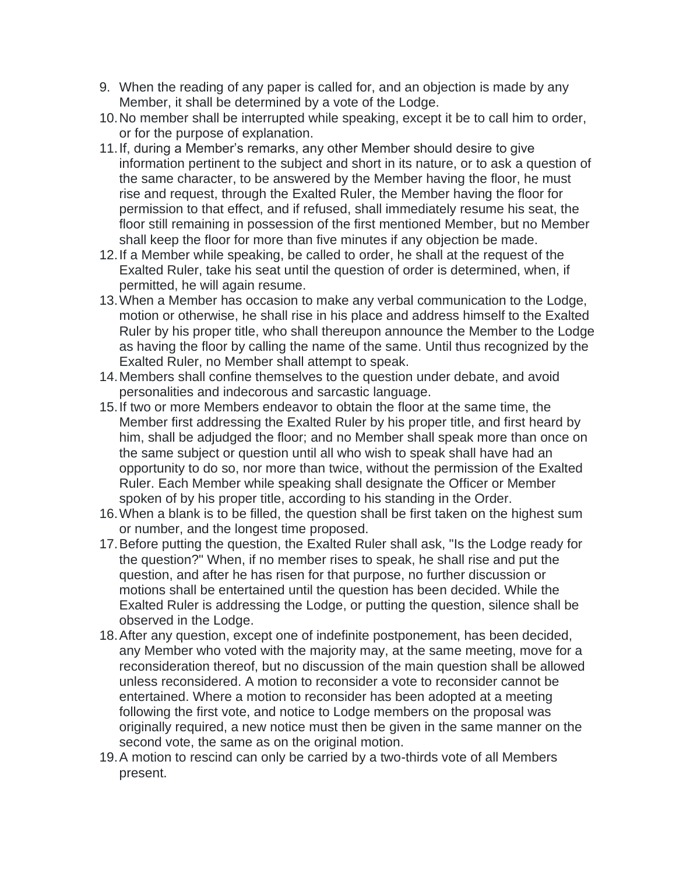- 9. When the reading of any paper is called for, and an objection is made by any Member, it shall be determined by a vote of the Lodge.
- 10.No member shall be interrupted while speaking, except it be to call him to order, or for the purpose of explanation.
- 11.If, during a Member's remarks, any other Member should desire to give information pertinent to the subject and short in its nature, or to ask a question of the same character, to be answered by the Member having the floor, he must rise and request, through the Exalted Ruler, the Member having the floor for permission to that effect, and if refused, shall immediately resume his seat, the floor still remaining in possession of the first mentioned Member, but no Member shall keep the floor for more than five minutes if any objection be made.
- 12.If a Member while speaking, be called to order, he shall at the request of the Exalted Ruler, take his seat until the question of order is determined, when, if permitted, he will again resume.
- 13.When a Member has occasion to make any verbal communication to the Lodge, motion or otherwise, he shall rise in his place and address himself to the Exalted Ruler by his proper title, who shall thereupon announce the Member to the Lodge as having the floor by calling the name of the same. Until thus recognized by the Exalted Ruler, no Member shall attempt to speak.
- 14.Members shall confine themselves to the question under debate, and avoid personalities and indecorous and sarcastic language.
- 15.If two or more Members endeavor to obtain the floor at the same time, the Member first addressing the Exalted Ruler by his proper title, and first heard by him, shall be adjudged the floor; and no Member shall speak more than once on the same subject or question until all who wish to speak shall have had an opportunity to do so, nor more than twice, without the permission of the Exalted Ruler. Each Member while speaking shall designate the Officer or Member spoken of by his proper title, according to his standing in the Order.
- 16.When a blank is to be filled, the question shall be first taken on the highest sum or number, and the longest time proposed.
- 17.Before putting the question, the Exalted Ruler shall ask, "Is the Lodge ready for the question?" When, if no member rises to speak, he shall rise and put the question, and after he has risen for that purpose, no further discussion or motions shall be entertained until the question has been decided. While the Exalted Ruler is addressing the Lodge, or putting the question, silence shall be observed in the Lodge.
- 18.After any question, except one of indefinite postponement, has been decided, any Member who voted with the majority may, at the same meeting, move for a reconsideration thereof, but no discussion of the main question shall be allowed unless reconsidered. A motion to reconsider a vote to reconsider cannot be entertained. Where a motion to reconsider has been adopted at a meeting following the first vote, and notice to Lodge members on the proposal was originally required, a new notice must then be given in the same manner on the second vote, the same as on the original motion.
- 19.A motion to rescind can only be carried by a two-thirds vote of all Members present.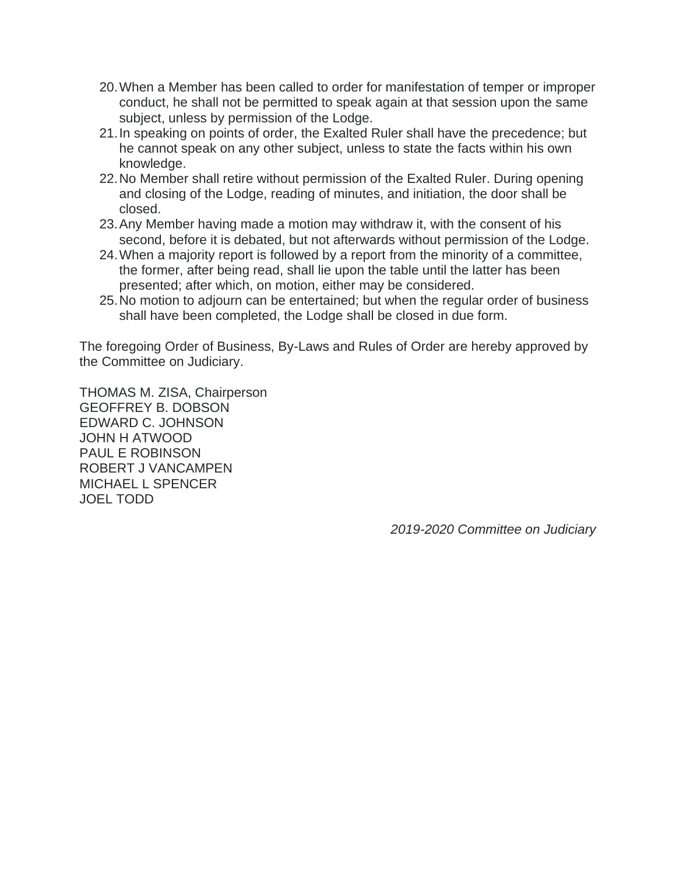- 20.When a Member has been called to order for manifestation of temper or improper conduct, he shall not be permitted to speak again at that session upon the same subject, unless by permission of the Lodge.
- 21.In speaking on points of order, the Exalted Ruler shall have the precedence; but he cannot speak on any other subject, unless to state the facts within his own knowledge.
- 22.No Member shall retire without permission of the Exalted Ruler. During opening and closing of the Lodge, reading of minutes, and initiation, the door shall be closed.
- 23.Any Member having made a motion may withdraw it, with the consent of his second, before it is debated, but not afterwards without permission of the Lodge.
- 24.When a majority report is followed by a report from the minority of a committee, the former, after being read, shall lie upon the table until the latter has been presented; after which, on motion, either may be considered.
- 25.No motion to adjourn can be entertained; but when the regular order of business shall have been completed, the Lodge shall be closed in due form.

The foregoing Order of Business, By-Laws and Rules of Order are hereby approved by the Committee on Judiciary.

THOMAS M. ZISA, Chairperson GEOFFREY B. DOBSON EDWARD C. JOHNSON JOHN H ATWOOD PAUL E ROBINSON ROBERT J VANCAMPEN MICHAEL L SPENCER JOEL TODD

*2019-2020 Committee on Judiciary*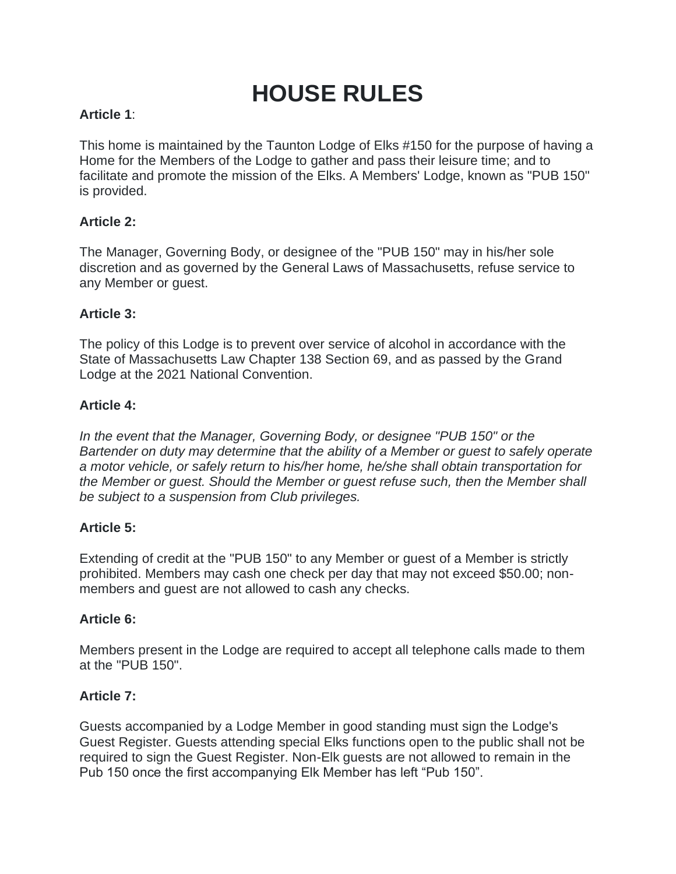# **HOUSE RULES**

### **Article 1**:

This home is maintained by the Taunton Lodge of Elks #150 for the purpose of having a Home for the Members of the Lodge to gather and pass their leisure time; and to facilitate and promote the mission of the Elks. A Members' Lodge, known as "PUB 150" is provided.

### **Article 2:**

The Manager, Governing Body, or designee of the "PUB 150" may in his/her sole discretion and as governed by the General Laws of Massachusetts, refuse service to any Member or guest.

### **Article 3:**

The policy of this Lodge is to prevent over service of alcohol in accordance with the State of Massachusetts Law Chapter 138 Section 69, and as passed by the Grand Lodge at the 2021 National Convention.

### **Article 4:**

*In the event that the Manager, Governing Body, or designee "PUB 150" or the Bartender on duty may determine that the ability of a Member or guest to safely operate a motor vehicle, or safely return to his/her home, he/she shall obtain transportation for the Member or guest. Should the Member or guest refuse such, then the Member shall be subject to a suspension from Club privileges.*

### **Article 5:**

Extending of credit at the "PUB 150" to any Member or guest of a Member is strictly prohibited. Members may cash one check per day that may not exceed \$50.00; nonmembers and guest are not allowed to cash any checks.

### **Article 6:**

Members present in the Lodge are required to accept all telephone calls made to them at the "PUB 150".

### **Article 7:**

Guests accompanied by a Lodge Member in good standing must sign the Lodge's Guest Register. Guests attending special Elks functions open to the public shall not be required to sign the Guest Register. Non-Elk guests are not allowed to remain in the Pub 150 once the first accompanying Elk Member has left "Pub 150".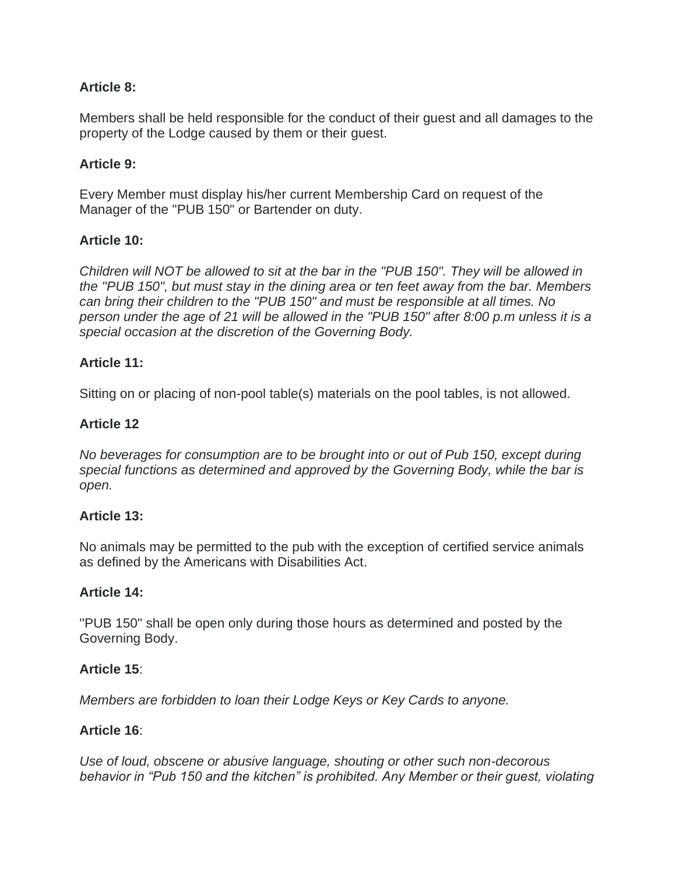### **Article 8:**

Members shall be held responsible for the conduct of their guest and all damages to the property of the Lodge caused by them or their guest.

### **Article 9:**

Every Member must display his/her current Membership Card on request of the Manager of the "PUB 150" or Bartender on duty.

### **Article 10:**

*Children will NOT be allowed to sit at the bar in the "PUB 150". They will be allowed in the ''PUB 150", but must stay in the dining area or ten feet away from the bar. Members can bring their children to the "PUB 150" and must be responsible at all times. No person under the age of 21 will be allowed in the "PUB 150" after 8:00 p.m unless it is a special occasion at the discretion of the Governing Body.*

### **Article 11:**

Sitting on or placing of non-pool table(s) materials on the pool tables, is not allowed.

### **Article 12**

*No beverages for consumption are to be brought into or out of Pub 150, except during special functions as determined and approved by the Governing Body, while the bar is open.*

### **Article 13:**

No animals may be permitted to the pub with the exception of certified service animals as defined by the Americans with Disabilities Act.

### **Article 14:**

''PUB 150" shall be open only during those hours as determined and posted by the Governing Body.

### **Article 15**:

*Members are forbidden to loan their Lodge Keys or Key Cards to anyone.*

### **Article 16**:

*Use of loud, obscene or abusive language, shouting or other such non-decorous behavior in "Pub 150 and the kitchen" is prohibited. Any Member or their guest, violating*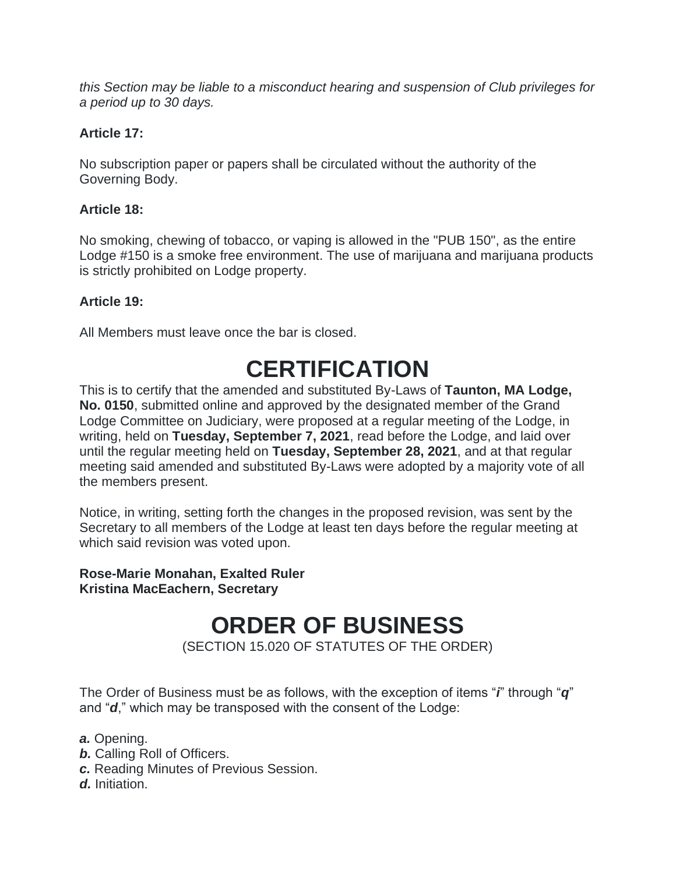*this Section may be liable to a misconduct hearing and suspension of Club privileges for a period up to 30 days.*

### **Article 17:**

No subscription paper or papers shall be circulated without the authority of the Governing Body.

### **Article 18:**

No smoking, chewing of tobacco, or vaping is allowed in the "PUB 150", as the entire Lodge #150 is a smoke free environment. The use of marijuana and marijuana products is strictly prohibited on Lodge property.

### **Article 19:**

All Members must leave once the bar is closed.

## **CERTIFICATION**

This is to certify that the amended and substituted By-Laws of **Taunton, MA Lodge, No. 0150**, submitted online and approved by the designated member of the Grand Lodge Committee on Judiciary, were proposed at a regular meeting of the Lodge, in writing, held on **Tuesday, September 7, 2021**, read before the Lodge, and laid over until the regular meeting held on **Tuesday, September 28, 2021**, and at that regular meeting said amended and substituted By-Laws were adopted by a majority vote of all the members present.

Notice, in writing, setting forth the changes in the proposed revision, was sent by the Secretary to all members of the Lodge at least ten days before the regular meeting at which said revision was voted upon.

### **Rose-Marie Monahan, Exalted Ruler Kristina MacEachern, Secretary**

### **ORDER OF BUSINESS**

(SECTION 15.020 OF STATUTES OF THE ORDER)

The Order of Business must be as follows, with the exception of items "*i*" through "*q*" and "*d*," which may be transposed with the consent of the Lodge:

- *a.* Opening.
- *b.* Calling Roll of Officers.
- *c.* Reading Minutes of Previous Session.
- *d.* Initiation.